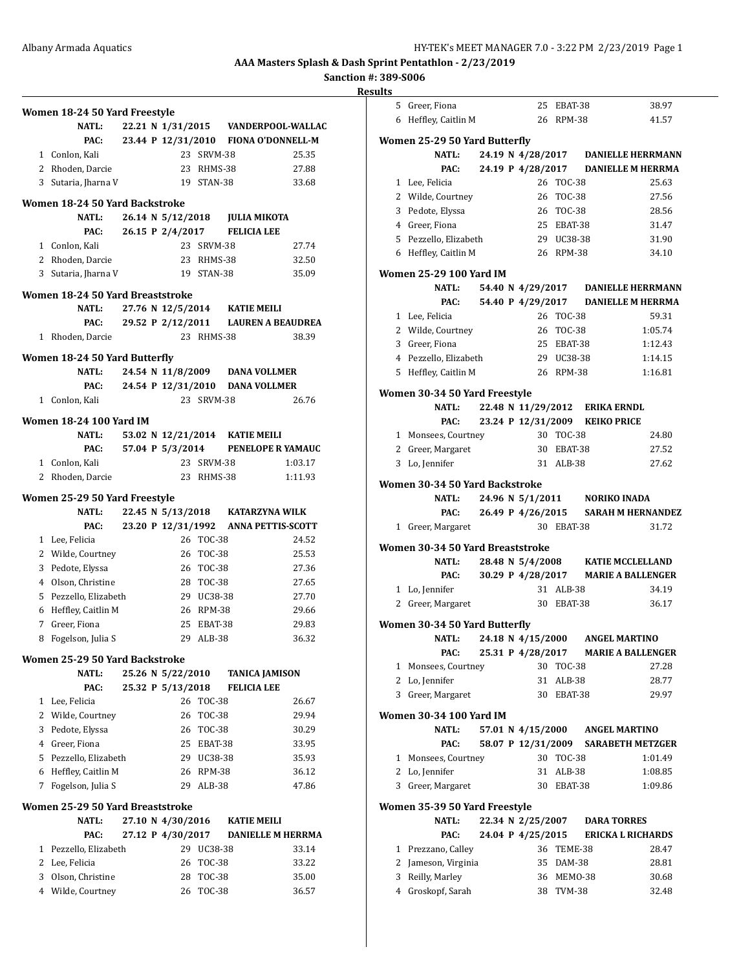**Sanction #: 389-S006**

| ., |
|----|
|    |

|              | Women 18-24 50 Yard Freestyle       |  |                                        |                     |                                 |                                      |
|--------------|-------------------------------------|--|----------------------------------------|---------------------|---------------------------------|--------------------------------------|
|              | NATL:                               |  |                                        |                     |                                 | 22.21 N 1/31/2015 VANDERPOOL-WALLAC  |
|              | PAC:                                |  |                                        |                     |                                 | 23.44 P 12/31/2010 FIONA O'DONNELL-M |
|              | 1 Conlon, Kali                      |  |                                        | 23 SRVM-38          |                                 | 25.35                                |
|              | 2 Rhoden, Darcie                    |  |                                        | 23 RHMS-38          |                                 | 27.88                                |
|              | 3 Sutaria, Jharna V                 |  |                                        | 19 STAN-38          |                                 | 33.68                                |
|              | Women 18-24 50 Yard Backstroke      |  |                                        |                     |                                 |                                      |
|              | <b>NATL:</b>                        |  |                                        |                     | 26.14 N 5/12/2018 JULIA MIKOTA  |                                      |
|              | PAC:                                |  | 26.15 P 2/4/2017                       |                     | <b>FELICIA LEE</b>              |                                      |
|              | 1 Conlon, Kali                      |  |                                        | 23 SRVM-38          |                                 | 27.74                                |
|              | 2 Rhoden, Darcie                    |  |                                        | 23 RHMS-38          |                                 | 32.50                                |
|              | 3 Sutaria, Jharna V                 |  | 19 STAN-38                             |                     |                                 | 35.09                                |
|              | Women 18-24 50 Yard Breaststroke    |  |                                        |                     |                                 |                                      |
|              | <b>NATL:</b>                        |  |                                        |                     | 27.76 N 12/5/2014 KATIE MEILI   |                                      |
|              | PAC:                                |  |                                        |                     |                                 | 29.52 P 2/12/2011 LAUREN A BEAUDREA  |
|              | 1 Rhoden, Darcie                    |  |                                        | 23 RHMS-38          |                                 | 38.39                                |
|              | Women 18-24 50 Yard Butterfly       |  |                                        |                     |                                 |                                      |
|              | <b>NATL:</b>                        |  |                                        |                     | 24.54 N 11/8/2009 DANA VOLLMER  |                                      |
|              | PAC:                                |  |                                        |                     | 24.54 P 12/31/2010 DANA VOLLMER |                                      |
|              | 1 Conlon, Kali                      |  |                                        | 23 SRVM-38          |                                 | 26.76                                |
|              | <b>Women 18-24 100 Yard IM</b>      |  |                                        |                     |                                 |                                      |
|              | <b>NATL:</b>                        |  |                                        |                     | 53.02 N 12/21/2014 KATIE MEILI  |                                      |
|              | PAC:                                |  | 57.04 P 5/3/2014                       |                     |                                 | PENELOPE R YAMAUC                    |
|              | 1 Conlon, Kali                      |  |                                        | 23 SRVM-38          |                                 | 1:03.17                              |
|              | 2 Rhoden, Darcie                    |  |                                        | 23 RHMS-38          |                                 | 1:11.93                              |
|              | Women 25-29 50 Yard Freestyle       |  |                                        |                     |                                 |                                      |
|              | <b>NATL:</b>                        |  |                                        |                     |                                 | 22.45 N 5/13/2018 KATARZYNA WILK     |
|              | PAC:                                |  |                                        |                     |                                 | 23.20 P 12/31/1992 ANNA PETTIS-SCOTT |
|              | 1 Lee, Felicia                      |  |                                        | 26 TOC-38           |                                 | 24.52                                |
|              | 2 Wilde, Courtney                   |  |                                        | 26 TOC-38           |                                 | 25.53                                |
|              | 3 Pedote, Elyssa                    |  |                                        | 26 TOC-38           |                                 | 27.36                                |
|              | 4 Olson, Christine                  |  |                                        | 28 TOC-38           |                                 | 27.65                                |
|              | 5 Pezzello, Elizabeth               |  |                                        | 29 UC38-38          |                                 | 27.70                                |
|              | 6 Heffley, Caitlin M                |  |                                        | 26 RPM-38           |                                 | 29.66                                |
|              | 7 Greer, Fiona                      |  |                                        | 25 EBAT-38          |                                 | 29.83                                |
| 8            | Fogelson, Julia S                   |  | 29.                                    | ALB-38              |                                 | 36.32                                |
|              | Women 25-29 50 Yard Backstroke      |  |                                        |                     |                                 |                                      |
|              | <b>NATL:</b>                        |  | 25.26 N 5/22/2010                      |                     |                                 | <b>TANICA JAMISON</b>                |
|              | PAC:                                |  | 25.32 P 5/13/2018                      |                     | <b>FELICIA LEE</b>              |                                      |
|              | 1 Lee, Felicia<br>2 Wilde, Courtney |  | 26<br>26                               | <b>TOC-38</b>       |                                 | 26.67                                |
|              | 3 Pedote, Elyssa                    |  |                                        | TOC-38<br>26 TOC-38 |                                 | 29.94<br>30.29                       |
|              | 4 Greer, Fiona                      |  |                                        | 25 EBAT-38          |                                 | 33.95                                |
|              | 5 Pezzello, Elizabeth               |  |                                        | 29 UC38-38          |                                 | 35.93                                |
|              | 6 Heffley, Caitlin M                |  |                                        | 26 RPM-38           |                                 | 36.12                                |
| 7            | Fogelson, Julia S                   |  |                                        | 29 ALB-38           |                                 | 47.86                                |
|              |                                     |  |                                        |                     |                                 |                                      |
|              | Women 25-29 50 Yard Breaststroke    |  |                                        |                     |                                 |                                      |
|              | <b>NATL:</b><br>PAC:                |  | 27.10 N 4/30/2016<br>27.12 P 4/30/2017 |                     | <b>KATIE MEILI</b>              | <b>DANIELLE M HERRMA</b>             |
| $\mathbf{1}$ | Pezzello, Elizabeth                 |  |                                        | 29 UC38-38          |                                 | 33.14                                |
|              | 2 Lee, Felicia                      |  | 26                                     | TOC-38              |                                 | 33.22                                |
|              | 3 Olson, Christine                  |  | 28                                     | TOC-38              |                                 | 35.00                                |
|              | 4 Wilde, Courtney                   |  | 26                                     | TOC-38              |                                 | 36.57                                |
|              |                                     |  |                                        |                     |                                 |                                      |

|        | 5 Greer, Fiona                    |  |                   | 25 EBAT-38               |                                     | 38.97          |
|--------|-----------------------------------|--|-------------------|--------------------------|-------------------------------------|----------------|
|        | 6 Heffley, Caitlin M              |  |                   | 26 RPM-38                |                                     | 41.57          |
|        |                                   |  |                   |                          |                                     |                |
|        | Women 25-29 50 Yard Butterfly     |  |                   |                          |                                     |                |
|        | <b>NATL:</b>                      |  |                   |                          | 24.19 N 4/28/2017 DANIELLE HERRMANN |                |
|        | PAC:                              |  | 24.19 P 4/28/2017 |                          | <b>DANIELLE M HERRMA</b>            |                |
|        | 1 Lee, Felicia                    |  |                   | 26 TOC-38                |                                     | 25.63          |
|        | 2 Wilde, Courtney                 |  | 26                | TOC-38                   |                                     | 27.56          |
|        | 3 Pedote, Elyssa                  |  | 26                | <b>TOC-38</b>            |                                     | 28.56          |
|        | 4 Greer, Fiona                    |  |                   | 25 EBAT-38               |                                     | 31.47          |
|        | 5 Pezzello, Elizabeth             |  |                   | 29 UC38-38               |                                     | 31.90          |
|        | 6 Heffley, Caitlin M              |  |                   | 26 RPM-38                |                                     | 34.10          |
|        | Women 25-29 100 Yard IM           |  |                   |                          |                                     |                |
|        | <b>NATL:</b>                      |  | 54.40 N 4/29/2017 |                          | <b>DANIELLE HERRMANN</b>            |                |
|        | PAC:                              |  |                   |                          | 54.40 P 4/29/2017 DANIELLE M HERRMA |                |
|        | 1 Lee, Felicia                    |  |                   | 26 TOC-38                |                                     | 59.31          |
|        | 2 Wilde, Courtney                 |  |                   | 26 TOC-38                |                                     | 1:05.74        |
|        | 3 Greer, Fiona                    |  |                   | 25 EBAT-38               |                                     | 1:12.43        |
|        | 4 Pezzello, Elizabeth             |  |                   | 29 UC38-38               |                                     | 1:14.15        |
|        | 5 Heffley, Caitlin M              |  |                   | 26 RPM-38                |                                     | 1:16.81        |
|        |                                   |  |                   |                          |                                     |                |
|        | Women 30-34 50 Yard Freestyle     |  |                   |                          |                                     |                |
|        | <b>NATL:</b>                      |  |                   |                          | 22.48 N 11/29/2012 ERIKA ERNDL      |                |
|        | PAC:                              |  |                   |                          | 23.24 P 12/31/2009 KEIKO PRICE      |                |
|        | 1 Monsees, Courtney               |  |                   | 30 TOC-38                |                                     | 24.80          |
|        | 2 Greer, Margaret                 |  |                   | 30 EBAT-38               |                                     | 27.52          |
| 3      | Lo, Jennifer                      |  |                   | 31 ALB-38                |                                     | 27.62          |
|        | Women 30-34 50 Yard Backstroke    |  |                   |                          |                                     |                |
|        | <b>NATL:</b>                      |  |                   |                          | 24.96 N 5/1/2011 NORIKO INADA       |                |
|        | PAC:                              |  |                   |                          | 26.49 P 4/26/2015 SARAH M HERNANDEZ |                |
|        | 1 Greer, Margaret                 |  |                   | 30 EBAT-38               |                                     | 31.72          |
|        | Women 30-34 50 Yard Breaststroke  |  |                   |                          |                                     |                |
|        | <b>NATL:</b>                      |  |                   |                          | 28.48 N 5/4/2008 KATIE MCCLELLAND   |                |
|        | PAC:                              |  |                   |                          | 30.29 P 4/28/2017 MARIE A BALLENGER |                |
|        | 1 Lo, Jennifer                    |  |                   | 31 ALB-38                |                                     | 34.19          |
|        | 2 Greer, Margaret                 |  |                   | 30 EBAT-38               |                                     | 36.17          |
|        |                                   |  |                   |                          |                                     |                |
|        | Women 30-34 50 Yard Butterfly     |  |                   |                          |                                     |                |
|        | <b>NATL:</b>                      |  | 24.18 N 4/15/2000 |                          | <b>ANGEL MARTINO</b>                |                |
|        | PAC:                              |  | 25.31 P 4/28/2017 |                          | <b>MARIE A BALLENGER</b>            |                |
| 1      | Monsees, Courtney                 |  | 30                | <b>TOC-38</b>            |                                     | 27.28          |
|        | 2 Lo, Jennifer                    |  | 31                | ALB-38                   |                                     | 28.77          |
| 3      | Greer, Margaret                   |  | 30                | EBAT-38                  |                                     | 29.97          |
|        | Women 30-34 100 Yard IM           |  |                   |                          |                                     |                |
|        | <b>NATL:</b>                      |  |                   |                          | 57.01 N 4/15/2000 ANGEL MARTINO     |                |
|        | PAC:                              |  |                   |                          | 58.07 P 12/31/2009 SARABETH METZGER |                |
| 1      | Monsees, Courtney                 |  | 30                | <b>TOC-38</b>            |                                     | 1:01.49        |
|        | 2 Lo, Jennifer                    |  | 31                | ALB-38                   |                                     | 1:08.85        |
| 3      | Greer, Margaret                   |  | 30                | EBAT-38                  |                                     | 1:09.86        |
|        |                                   |  |                   |                          |                                     |                |
|        |                                   |  |                   |                          |                                     |                |
|        | Women 35-39 50 Yard Freestyle     |  |                   |                          |                                     |                |
|        | <b>NATL:</b>                      |  | 22.34 N 2/25/2007 |                          | <b>DARA TORRES</b>                  |                |
|        | PAC:                              |  | 24.04 P 4/25/2015 |                          | <b>ERICKA L RICHARDS</b>            |                |
| 1      | Prezzano, Calley                  |  | 36                | TEME-38                  |                                     | 28.47          |
| 2      | Jameson, Virginia                 |  | 35                | DAM-38                   |                                     | 28.81          |
| 3<br>4 | Reilly, Marley<br>Groskopf, Sarah |  | 36<br>38          | MEMO-38<br><b>TVM-38</b> |                                     | 30.68<br>32.48 |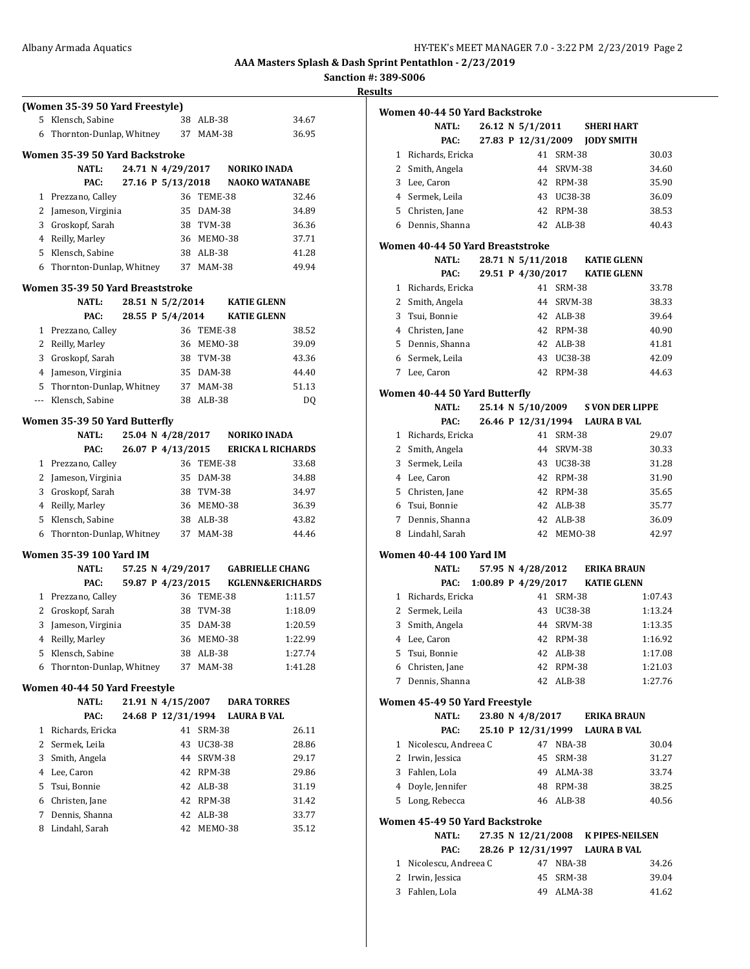**Sanction #: 389-S006**

|     | (Women 35-39 50 Yard Freestyle)  |                    |    |            |                             |         |
|-----|----------------------------------|--------------------|----|------------|-----------------------------|---------|
| 5   | Klensch, Sabine                  |                    |    | 38 ALB-38  |                             | 34.67   |
| 6   | Thornton-Dunlap, Whitney         |                    |    | 37 MAM-38  |                             | 36.95   |
|     | Women 35-39 50 Yard Backstroke   |                    |    |            |                             |         |
|     | <b>NATL:</b>                     | 24.71 N 4/29/2017  |    |            | <b>NORIKO INADA</b>         |         |
|     | PAC:                             | 27.16 P 5/13/2018  |    |            | <b>NAOKO WATANABE</b>       |         |
|     | 1 Prezzano, Calley               |                    | 36 | TEME-38    |                             | 32.46   |
|     | 2 Jameson, Virginia              |                    | 35 | DAM-38     |                             | 34.89   |
|     | 3 Groskopf, Sarah                |                    |    | 38 TVM-38  |                             | 36.36   |
|     | 4 Reilly, Marley                 |                    |    | 36 MEMO-38 |                             | 37.71   |
|     | 5 Klensch, Sabine                |                    |    | 38 ALB-38  |                             | 41.28   |
| 6   | Thornton-Dunlap, Whitney         |                    |    | 37 MAM-38  |                             | 49.94   |
|     |                                  |                    |    |            |                             |         |
|     | Women 35-39 50 Yard Breaststroke |                    |    |            |                             |         |
|     | NATL:                            | 28.51 N 5/2/2014   |    |            | <b>KATIE GLENN</b>          |         |
|     | PAC:                             | 28.55 P 5/4/2014   |    |            | <b>KATIE GLENN</b>          |         |
|     | 1 Prezzano, Calley               |                    | 36 | TEME-38    |                             | 38.52   |
|     | 2 Reilly, Marley                 |                    | 36 | MEMO-38    |                             | 39.09   |
|     | 3 Groskopf, Sarah                |                    |    | 38 TVM-38  |                             | 43.36   |
|     | 4 Jameson, Virginia              |                    |    | 35 DAM-38  |                             | 44.40   |
|     | 5 Thornton-Dunlap, Whitney       |                    |    | 37 MAM-38  |                             | 51.13   |
| --- | Klensch, Sabine                  |                    | 38 | ALB-38     |                             | DQ      |
|     | Women 35-39 50 Yard Butterfly    |                    |    |            |                             |         |
|     | <b>NATL:</b>                     | 25.04 N 4/28/2017  |    |            | <b>NORIKO INADA</b>         |         |
|     | PAC:                             | 26.07 P 4/13/2015  |    |            | <b>ERICKA L RICHARDS</b>    |         |
|     | 1 Prezzano, Calley               |                    |    | 36 TEME-38 |                             | 33.68   |
|     | 2 Jameson, Virginia              |                    | 35 | DAM-38     |                             | 34.88   |
|     | 3 Groskopf, Sarah                |                    |    | 38 TVM-38  |                             | 34.97   |
|     | 4 Reilly, Marley                 |                    |    | 36 MEMO-38 |                             | 36.39   |
|     | 5 Klensch, Sabine                |                    | 38 | ALB-38     |                             | 43.82   |
|     | 6 Thornton-Dunlap, Whitney       |                    |    | 37 MAM-38  |                             | 44.46   |
|     | Women 35-39 100 Yard IM          |                    |    |            |                             |         |
|     | <b>NATL:</b>                     | 57.25 N 4/29/2017  |    |            | <b>GABRIELLE CHANG</b>      |         |
|     | PAC:                             | 59.87 P 4/23/2015  |    |            | <b>KGLENN&amp;ERICHARDS</b> |         |
|     | 1 Prezzano, Calley               |                    |    | 36 TEME-38 |                             | 1:11.57 |
|     | 2 Groskopf, Sarah                |                    | 38 | TVM-38     |                             | 1:18.09 |
| 3   | Jameson, Virginia                |                    | 35 | DAM-38     |                             | 1:20.59 |
|     | 4 Reilly, Marley                 |                    |    | 36 MEMO-38 |                             | 1:22.99 |
| 5   | Klensch, Sabine                  |                    |    | 38 ALB-38  |                             | 1:27.74 |
| 6   | Thornton-Dunlap, Whitney         |                    | 37 | MAM-38     |                             | 1:41.28 |
|     | Women 40-44 50 Yard Freestyle    |                    |    |            |                             |         |
|     | NATL:                            | 21.91 N 4/15/2007  |    |            | <b>DARA TORRES</b>          |         |
|     | PAC:                             | 24.68 P 12/31/1994 |    |            | <b>LAURA B VAL</b>          |         |
| 1   | Richards, Ericka                 |                    | 41 | SRM-38     |                             | 26.11   |
|     | 2 Sermek, Leila                  |                    | 43 | UC38-38    |                             | 28.86   |
|     | 3 Smith, Angela                  |                    | 44 | SRVM-38    |                             | 29.17   |
|     | 4 Lee, Caron                     |                    | 42 | RPM-38     |                             | 29.86   |
| 5   | Tsui, Bonnie                     |                    |    | 42 ALB-38  |                             | 31.19   |
|     | 6 Christen, Jane                 |                    |    | 42 RPM-38  |                             | 31.42   |
| 7   | Dennis, Shanna                   |                    | 42 | ALB-38     |                             | 33.77   |
| 8   | Lindahl, Sarah                   |                    | 42 | MEMO-38    |                             | 35.12   |
|     |                                  |                    |    |            |                             |         |
|     |                                  |                    |    |            |                             |         |
|     |                                  |                    |    |            |                             |         |

| IUS |   |                                                  |  |                     |            |                                    |         |
|-----|---|--------------------------------------------------|--|---------------------|------------|------------------------------------|---------|
|     |   | Women 40-44 50 Yard Backstroke                   |  |                     |            |                                    |         |
|     |   | <b>NATL:</b>                                     |  | 26.12 N 5/1/2011    |            | <b>SHERI HART</b>                  |         |
|     |   | PAC:                                             |  |                     |            | 27.83 P 12/31/2009 JODY SMITH      |         |
|     |   | 1 Richards, Ericka                               |  |                     | 41 SRM-38  |                                    | 30.03   |
|     |   | 2 Smith, Angela                                  |  |                     | 44 SRVM-38 |                                    | 34.60   |
|     |   | 3 Lee, Caron                                     |  |                     | 42 RPM-38  |                                    | 35.90   |
|     |   | 4 Sermek, Leila                                  |  |                     | 43 UC38-38 |                                    | 36.09   |
|     |   | 5 Christen, Jane                                 |  |                     | 42 RPM-38  |                                    | 38.53   |
|     |   | 6 Dennis, Shanna                                 |  |                     | 42 ALB-38  |                                    | 40.43   |
|     |   |                                                  |  |                     |            |                                    |         |
|     |   | Women 40-44 50 Yard Breaststroke<br><b>NATL:</b> |  |                     |            | 28.71 N 5/11/2018 KATIE GLENN      |         |
|     |   | PAC:                                             |  |                     |            | 29.51 P 4/30/2017 KATIE GLENN      |         |
|     |   |                                                  |  |                     | 41 SRM-38  |                                    | 33.78   |
|     |   | 1 Richards, Ericka                               |  |                     |            |                                    |         |
|     |   | 2 Smith, Angela                                  |  |                     | 44 SRVM-38 |                                    | 38.33   |
|     |   | 3 Tsui, Bonnie                                   |  |                     | 42 ALB-38  |                                    | 39.64   |
|     |   | 4 Christen, Jane                                 |  |                     | 42 RPM-38  |                                    | 40.90   |
|     |   | 5 Dennis, Shanna                                 |  |                     | 42 ALB-38  |                                    | 41.81   |
|     |   | 6 Sermek, Leila                                  |  |                     | 43 UC38-38 |                                    | 42.09   |
|     |   | 7 Lee, Caron                                     |  |                     | 42 RPM-38  |                                    | 44.63   |
|     |   | Women 40-44 50 Yard Butterfly                    |  |                     |            |                                    |         |
|     |   | NATL:                                            |  |                     |            | 25.14 N 5/10/2009 S VON DER LIPPE  |         |
|     |   | PAC:                                             |  |                     |            | 26.46 P 12/31/1994 LAURA B VAL     |         |
|     |   | 1 Richards, Ericka                               |  |                     | 41 SRM-38  |                                    | 29.07   |
|     |   | 2 Smith, Angela                                  |  |                     | 44 SRVM-38 |                                    | 30.33   |
|     |   | 3 Sermek, Leila                                  |  |                     | 43 UC38-38 |                                    | 31.28   |
|     | 4 | Lee, Caron                                       |  |                     | 42 RPM-38  |                                    | 31.90   |
|     | 5 | Christen, Jane                                   |  |                     | 42 RPM-38  |                                    | 35.65   |
|     |   | 6 Tsui, Bonnie                                   |  |                     | 42 ALB-38  |                                    | 35.77   |
|     |   | 7 Dennis, Shanna                                 |  |                     | 42 ALB-38  |                                    | 36.09   |
|     |   | 8 Lindahl, Sarah                                 |  |                     | 42 MEM0-38 |                                    | 42.97   |
|     |   | Women 40-44 100 Yard IM                          |  |                     |            |                                    |         |
|     |   | <b>NATL:</b>                                     |  | 57.95 N 4/28/2012   |            | <b>ERIKA BRAUN</b>                 |         |
|     |   | PAC:                                             |  | 1:00.89 P 4/29/2017 |            | <b>KATIE GLENN</b>                 |         |
|     |   | 1 Richards, Ericka                               |  |                     | 41 SRM-38  |                                    | 1:07.43 |
|     |   | 2 Sermek, Leila                                  |  |                     | 43 UC38-38 |                                    | 1:13.24 |
|     |   | 3 Smith, Angela                                  |  |                     | 44 SRVM-38 |                                    | 1:13.35 |
|     |   | 4 Lee, Caron                                     |  |                     | 42 RPM-38  |                                    | 1:16.92 |
|     |   | 5 Tsui, Bonnie                                   |  |                     | 42 ALB-38  |                                    | 1:17.08 |
|     |   | 6 Christen, Jane                                 |  |                     | 42 RPM-38  |                                    | 1:21.03 |
|     |   | 7 Dennis, Shanna                                 |  |                     | 42 ALB-38  |                                    | 1:27.76 |
|     |   | Women 45-49 50 Yard Freestyle                    |  |                     |            |                                    |         |
|     |   | NATL:                                            |  |                     |            | 23.80 N 4/8/2017 ERIKA BRAUN       |         |
|     |   | PAC:                                             |  |                     |            | 25.10 P 12/31/1999 LAURA B VAL     |         |
|     |   | 1 Nicolescu, Andreea C                           |  |                     | 47 NBA-38  |                                    | 30.04   |
|     |   | 2 Irwin, Jessica                                 |  |                     | 45 SRM-38  |                                    | 31.27   |
|     |   | 3 Fahlen, Lola                                   |  |                     | 49 ALMA-38 |                                    | 33.74   |
|     |   | 4 Doyle, Jennifer                                |  |                     | 48 RPM-38  |                                    | 38.25   |
|     |   | 5 Long, Rebecca                                  |  |                     | 46 ALB-38  |                                    | 40.56   |
|     |   |                                                  |  |                     |            |                                    |         |
|     |   | Women 45-49 50 Yard Backstroke                   |  |                     |            |                                    |         |
|     |   | NATL:                                            |  |                     |            | 27.35 N 12/21/2008 K PIPES-NEILSEN |         |
|     |   | PAC:                                             |  |                     |            | 28.26 P 12/31/1997 LAURA B VAL     |         |
|     |   | 1 Nicolescu, Andreea C                           |  |                     | 47 NBA-38  |                                    | 34.26   |
|     |   | 2 Irwin, Jessica                                 |  |                     | 45 SRM-38  |                                    | 39.04   |
|     |   | 3 Fahlen, Lola                                   |  |                     | 49 ALMA-38 |                                    | 41.62   |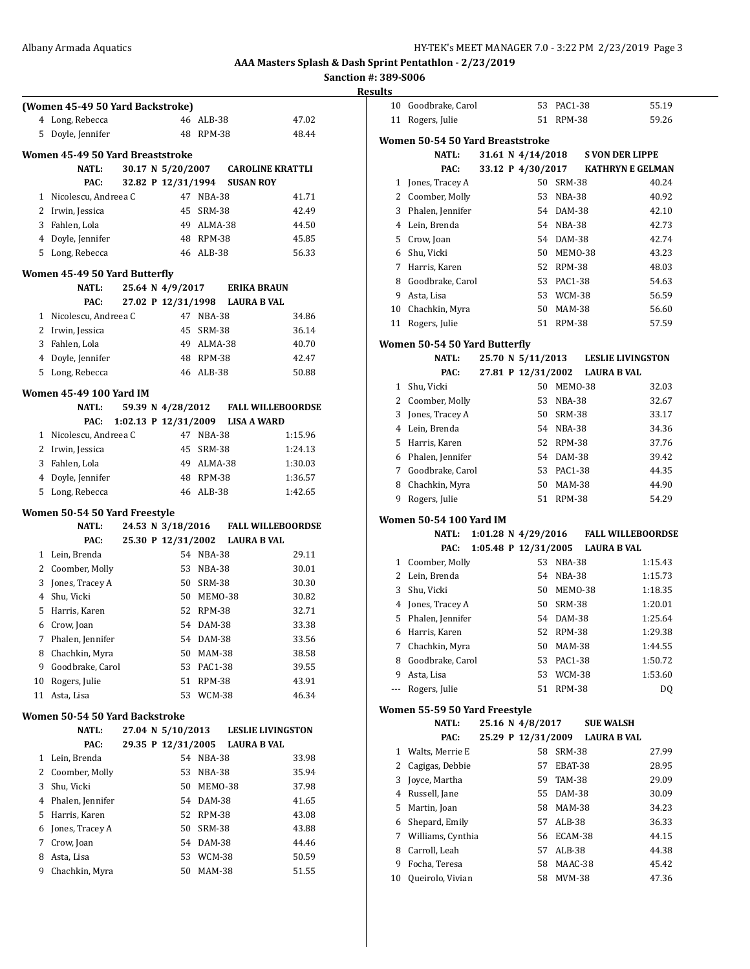**Sanction #: 389-S006 Results**

|    | (Women 45-49 50 Yard Backstroke) |  |                                  |            |                                    |
|----|----------------------------------|--|----------------------------------|------------|------------------------------------|
| 4  | Long, Rebecca                    |  |                                  | 46 ALB-38  | 47.02                              |
| 5  | Doyle, Jennifer                  |  |                                  | 48 RPM-38  | 48.44                              |
|    |                                  |  |                                  |            |                                    |
|    | Women 45-49 50 Yard Breaststroke |  |                                  |            |                                    |
|    | <b>NATL:</b>                     |  |                                  |            | 30.17 N 5/20/2007 CAROLINE KRATTLI |
|    | PAC:                             |  | 32.82 P 12/31/1994 SUSAN ROY     |            |                                    |
|    | 1 Nicolescu, Andreea C           |  |                                  | 47 NBA-38  | 41.71                              |
|    | 2 Irwin, Jessica                 |  |                                  | 45 SRM-38  | 42.49                              |
|    | 3 Fahlen, Lola                   |  |                                  | 49 ALMA-38 | 44.50                              |
|    | 4 Doyle, Jennifer                |  |                                  | 48 RPM-38  | 45.85                              |
|    | 5 Long, Rebecca                  |  |                                  | 46 ALB-38  | 56.33                              |
|    | Women 45-49 50 Yard Butterfly    |  |                                  |            |                                    |
|    | NATL:                            |  | 25.64 N 4/9/2017                 |            | <b>ERIKA BRAUN</b>                 |
|    | PAC:                             |  | 27.02 P 12/31/1998               |            | <b>LAURA B VAL</b>                 |
|    | 1 Nicolescu, Andreea C           |  |                                  | 47 NBA-38  | 34.86                              |
|    | 2 Irwin, Jessica                 |  |                                  | 45 SRM-38  | 36.14                              |
|    | 3 Fahlen, Lola                   |  |                                  | 49 ALMA-38 | 40.70                              |
|    | 4 Doyle, Jennifer                |  |                                  | 48 RPM-38  | 42.47                              |
|    | 5 Long, Rebecca                  |  |                                  | 46 ALB-38  | 50.88                              |
|    | Women 45-49 100 Yard IM          |  |                                  |            |                                    |
|    | <b>NATL:</b>                     |  | 59.39 N 4/28/2012                |            | <b>FALL WILLEBOORDSE</b>           |
|    | PAC:                             |  | 1:02.13 P 12/31/2009 LISA A WARD |            |                                    |
|    | 1 Nicolescu, Andreea C           |  |                                  | 47 NBA-38  | 1:15.96                            |
|    | 2 Irwin, Jessica                 |  |                                  | 45 SRM-38  | 1:24.13                            |
| 3  | Fahlen, Lola                     |  |                                  | 49 ALMA-38 | 1:30.03                            |
|    | 4 Doyle, Jennifer                |  |                                  | 48 RPM-38  | 1:36.57                            |
| 5  | Long, Rebecca                    |  |                                  | 46 ALB-38  | 1:42.65                            |
|    |                                  |  |                                  |            |                                    |
|    | Women 50-54 50 Yard Freestyle    |  |                                  |            |                                    |
|    | <b>NATL:</b>                     |  | 24.53 N 3/18/2016                |            | <b>FALL WILLEBOORDSE</b>           |
|    | PAC:                             |  | 25.30 P 12/31/2002               |            | <b>LAURA B VAL</b>                 |
|    | 1 Lein, Brenda                   |  |                                  | 54 NBA-38  | 29.11                              |
|    | 2 Coomber, Molly                 |  |                                  | 53 NBA-38  | 30.01                              |
|    | 3 Jones, Tracey A                |  |                                  | 50 SRM-38  | 30.30                              |
|    | 4 Shu, Vicki                     |  |                                  | 50 MEMO-38 | 30.82                              |
| 5. | Harris, Karen                    |  |                                  | 52 RPM-38  | 32.71                              |
|    | 6 Crow, Joan                     |  |                                  | 54 DAM-38  | 33.38                              |
| 7  | Phalen, Jennifer                 |  | 54                               | DAM-38     | 33.56                              |
| 8  | Chachkin, Myra                   |  | 50                               | MAM-38     | 38.58                              |
| 9  | Goodbrake, Carol                 |  | 53                               | PAC1-38    | 39.55                              |
| 10 | Rogers, Julie                    |  | 51                               | RPM-38     | 43.91                              |
| 11 | Asta, Lisa                       |  | 53                               | WCM-38     | 46.34                              |
|    | Women 50-54 50 Yard Backstroke   |  |                                  |            |                                    |
|    | <b>NATL:</b>                     |  | 27.04 N 5/10/2013                |            | <b>LESLIE LIVINGSTON</b>           |
|    | PAC:                             |  | 29.35 P 12/31/2005               |            | <b>LAURA B VAL</b>                 |
| 1  | Lein, Brenda                     |  |                                  | 54 NBA-38  | 33.98                              |
| 2  | Coomber, Molly                   |  | 53                               | NBA-38     | 35.94                              |
| 3  | Shu, Vicki                       |  | 50                               | MEMO-38    | 37.98                              |
| 4  | Phalen, Jennifer                 |  |                                  | 54 DAM-38  | 41.65                              |
| 5  | Harris, Karen                    |  |                                  | 52 RPM-38  | 43.08                              |
| 6  | Jones, Tracey A                  |  | 50                               | SRM-38     | 43.88                              |
| 7  | Crow, Joan                       |  | 54                               | DAM-38     | 44.46                              |
| 8  | Asta, Lisa                       |  | 53                               | WCM-38     | 50.59                              |

Chachkin, Myra 50 MAM-38 51.55

| แเว |                                  |  |                       |               |                                     |                          |
|-----|----------------------------------|--|-----------------------|---------------|-------------------------------------|--------------------------|
| 10  | Goodbrake, Carol                 |  | 53                    | PAC1-38       |                                     | 55.19                    |
| 11  | Rogers, Julie                    |  | 51                    | RPM-38        |                                     | 59.26                    |
|     |                                  |  |                       |               |                                     |                          |
|     | Women 50-54 50 Yard Breaststroke |  |                       |               |                                     |                          |
|     | <b>NATL:</b>                     |  | 31.61 N 4/14/2018     |               | <b>S VON DER LIPPE</b>              |                          |
|     | PAC:                             |  | 33.12 P 4/30/2017     |               | <b>KATHRYN E GELMAN</b>             |                          |
|     | 1 Jones, Tracey A                |  | 50                    | SRM-38        |                                     | 40.24                    |
|     | 2 Coomber, Molly                 |  | 53                    | NBA-38        |                                     | 40.92                    |
|     | 3 Phalen, Jennifer               |  | 54                    | DAM-38        |                                     | 42.10                    |
|     | 4 Lein, Brenda                   |  |                       | 54 NBA-38     |                                     | 42.73                    |
|     | 5 Crow, Joan                     |  |                       | 54 DAM-38     |                                     | 42.74                    |
|     | 6 Shu, Vicki                     |  |                       | 50 MEMO-38    |                                     | 43.23                    |
|     | 7 Harris, Karen                  |  |                       | 52 RPM-38     |                                     | 48.03                    |
|     | 8 Goodbrake, Carol               |  | 53                    | PAC1-38       |                                     | 54.63                    |
| 9   | Asta, Lisa                       |  | 53                    | WCM-38        |                                     | 56.59                    |
|     | 10 Chachkin, Myra                |  | 50                    | MAM-38        |                                     | 56.60                    |
| 11  | Rogers, Julie                    |  | 51                    | RPM-38        |                                     | 57.59                    |
|     | Women 50-54 50 Yard Butterfly    |  |                       |               |                                     |                          |
|     | <b>NATL:</b>                     |  |                       |               | 25.70 N 5/11/2013 LESLIE LIVINGSTON |                          |
|     | PAC:                             |  |                       |               | 27.81 P 12/31/2002 LAURA B VAL      |                          |
|     | 1 Shu, Vicki                     |  |                       | 50 MEMO-38    |                                     | 32.03                    |
|     | 2 Coomber, Molly                 |  | 53                    | NBA-38        |                                     | 32.67                    |
|     | 3 Jones, Tracey A                |  |                       | 50 SRM-38     |                                     | 33.17                    |
|     | 4 Lein. Brenda                   |  |                       | 54 NBA-38     |                                     | 34.36                    |
| 5.  | Harris, Karen                    |  |                       | 52 RPM-38     |                                     | 37.76                    |
|     | 6 Phalen, Jennifer               |  |                       | 54 DAM-38     |                                     | 39.42                    |
| 7   | Goodbrake, Carol                 |  | 53                    | PAC1-38       |                                     | 44.35                    |
|     |                                  |  | 50                    |               |                                     |                          |
|     | 8 Chachkin, Myra                 |  |                       | MAM-38        |                                     | 44.90                    |
| 9   | Rogers, Julie                    |  | 51                    | <b>RPM-38</b> |                                     | 54.29                    |
|     | <b>Women 50-54 100 Yard IM</b>   |  |                       |               |                                     |                          |
|     | <b>NATL:</b>                     |  | 1:01.28 N $4/29/2016$ |               |                                     | <b>FALL WILLEBOORDSE</b> |
|     | PAC:                             |  | 1:05.48 P 12/31/2005  |               | <b>LAURA B VAL</b>                  |                          |
|     | 1 Coomber, Molly                 |  |                       | 53 NBA-38     |                                     | 1:15.43                  |
|     | 2 Lein, Brenda                   |  |                       | 54 NBA-38     |                                     | 1:15.73                  |
| 3   | Shu, Vicki                       |  |                       | 50 MEMO-38    |                                     | 1:18.35                  |
| 4   | Jones, Tracey A                  |  |                       | 50 SRM-38     |                                     | 1:20.01                  |
| 5   | Phalen, Jennifer                 |  |                       | 54 DAM-38     |                                     | 1:25.64                  |
| 6   | Harris, Karen                    |  | 52                    | <b>RPM-38</b> |                                     | 1:29.38                  |
| 7   | Chachkin, Myra                   |  | 50                    | MAM-38        |                                     | 1:44.55                  |
| 8   | Goodbrake, Carol                 |  | 53                    | PAC1-38       |                                     | 1:50.72                  |
| 9   | Asta, Lisa                       |  | 53                    | <b>WCM-38</b> |                                     | 1:53.60                  |
| --- | Rogers, Julie                    |  | 51                    | RPM-38        |                                     | DQ                       |
|     | Women 55-59 50 Yard Freestyle    |  |                       |               |                                     |                          |
|     | <b>NATL:</b>                     |  | 25.16 N 4/8/2017      |               | <b>SUE WALSH</b>                    |                          |
|     | PAC:                             |  | 25.29 P 12/31/2009    |               | <b>LAURA B VAL</b>                  |                          |
| 1   | Walts, Merrie E                  |  | 58                    | SRM-38        |                                     | 27.99                    |
| 2   | Cagigas, Debbie                  |  | 57                    | EBAT-38       |                                     | 28.95                    |
| 3   | Joyce, Martha                    |  | 59                    | TAM-38        |                                     | 29.09                    |
| 4   | Russell, Jane                    |  | 55                    | DAM-38        |                                     | 30.09                    |
| 5   | Martin, Joan                     |  | 58                    | MAM-38        |                                     | 34.23                    |
| 6   | Shepard, Emily                   |  | 57                    | ALB-38        |                                     | 36.33                    |
| 7   | Williams, Cynthia                |  | 56                    | ECAM-38       |                                     | 44.15                    |
| 8   | Carroll, Leah                    |  | 57                    | ALB-38        |                                     | 44.38                    |
| 9   | Focha, Teresa                    |  | 58                    | MAAC-38       |                                     |                          |
|     |                                  |  | 58                    |               |                                     | 45.42                    |
| 10  | Queirolo, Vivian                 |  |                       | MVM-38        |                                     | 47.36                    |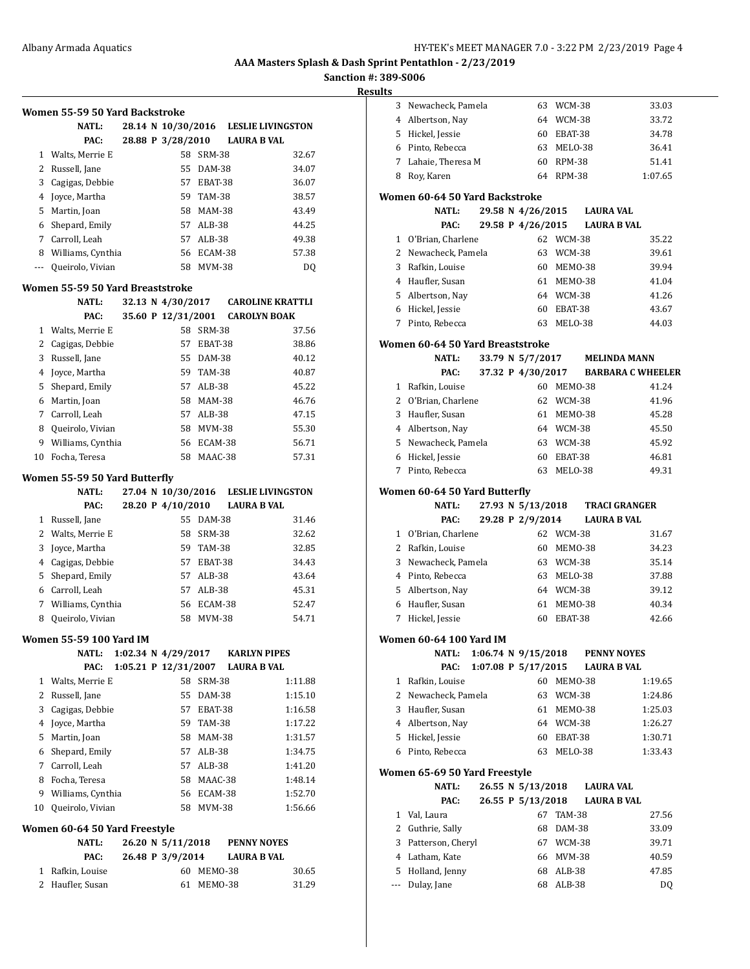# **Sanction #: 389-S006**

|              | Women 55-59 50 Yard Backstroke                |  |                                             |               |                    |                                    |
|--------------|-----------------------------------------------|--|---------------------------------------------|---------------|--------------------|------------------------------------|
|              | <b>NATL:</b>                                  |  | 28.14 N 10/30/2016                          |               |                    | <b>LESLIE LIVINGSTON</b>           |
|              | PAC:                                          |  | 28.88 P 3/28/2010                           |               | <b>LAURA B VAL</b> |                                    |
|              | 1 Walts, Merrie E                             |  |                                             | 58 SRM-38     |                    | 32.67                              |
|              | 2 Russell, Jane                               |  |                                             | 55 DAM-38     |                    | 34.07                              |
|              | 3 Cagigas, Debbie                             |  |                                             | 57 EBAT-38    |                    | 36.07                              |
|              | 4 Joyce, Martha                               |  |                                             | 59 TAM-38     |                    | 38.57                              |
| 5            | Martin, Joan                                  |  |                                             | 58 MAM-38     |                    | 43.49                              |
|              | 6 Shepard, Emily                              |  |                                             | 57 ALB-38     |                    | 44.25                              |
|              | 7 Carroll, Leah                               |  |                                             | 57 ALB-38     |                    | 49.38                              |
|              | 8 Williams, Cynthia                           |  |                                             | 56 ECAM-38    |                    | 57.38                              |
| $\cdots$     | Queirolo, Vivian                              |  |                                             | 58 MVM-38     |                    | DQ                                 |
|              | Women 55-59 50 Yard Breaststroke              |  |                                             |               |                    |                                    |
|              | <b>NATL:</b>                                  |  |                                             |               |                    | 32.13 N 4/30/2017 CAROLINE KRATTLI |
|              | PAC:                                          |  | 35.60 P 12/31/2001                          |               |                    | <b>CAROLYN BOAK</b>                |
|              | 1 Walts, Merrie E                             |  |                                             | 58 SRM-38     |                    | 37.56                              |
|              | 2 Cagigas, Debbie                             |  | 57                                          | EBAT-38       |                    | 38.86                              |
| 3            | Russell, Jane                                 |  |                                             | 55 DAM-38     |                    | 40.12                              |
| 4            | Joyce, Martha                                 |  |                                             | 59 TAM-38     |                    | 40.87                              |
| 5            | Shepard, Emily                                |  |                                             | 57 ALB-38     |                    | 45.22                              |
|              | 6 Martin, Joan                                |  |                                             | 58 MAM-38     |                    | 46.76                              |
|              | 7 Carroll, Leah                               |  |                                             | 57 ALB-38     |                    | 47.15                              |
|              | 8 Queirolo, Vivian                            |  |                                             | 58 MVM-38     |                    | 55.30                              |
|              | 9 Williams, Cynthia                           |  | 56                                          | ECAM-38       |                    | 56.71                              |
| 10           | Focha, Teresa                                 |  | 58                                          | MAAC-38       |                    | 57.31                              |
|              |                                               |  |                                             |               |                    |                                    |
|              | Women 55-59 50 Yard Butterfly<br><b>NATL:</b> |  | 27.04 N 10/30/2016                          |               |                    | <b>LESLIE LIVINGSTON</b>           |
|              | PAC:                                          |  | 28.20 P 4/10/2010                           |               | <b>LAURA B VAL</b> |                                    |
|              | 1 Russell, Jane                               |  |                                             | 55 DAM-38     |                    | 31.46                              |
| $\mathbf{2}$ | Walts, Merrie E                               |  | 58                                          | <b>SRM-38</b> |                    | 32.62                              |
| 3            | Joyce, Martha                                 |  | 59                                          | TAM-38        |                    | 32.85                              |
|              | 4 Cagigas, Debbie                             |  |                                             | 57 EBAT-38    |                    | 34.43                              |
|              | 5 Shepard, Emily                              |  |                                             | 57 ALB-38     |                    | 43.64                              |
|              | 6 Carroll, Leah                               |  |                                             | 57 ALB-38     |                    | 45.31                              |
|              | 7 Williams, Cynthia                           |  |                                             | 56 ECAM-38    |                    | 52.47                              |
|              | 8 Queirolo, Vivian                            |  | 58                                          | <b>MVM-38</b> |                    | 54.71                              |
|              |                                               |  |                                             |               |                    |                                    |
|              | <b>Women 55-59 100 Yard IM</b>                |  |                                             |               |                    |                                    |
|              | <b>NATL:</b><br>PAC:                          |  | 1:02.34 N 4/29/2017<br>1:05.21 P 12/31/2007 |               | <b>LAURA B VAL</b> | <b>KARLYN PIPES</b>                |
| 1            | Walts, Merrie E                               |  | 58                                          | <b>SRM-38</b> |                    | 1:11.88                            |
| 2            | Russell, Jane                                 |  | 55                                          | DAM-38        |                    | 1:15.10                            |
| 3            | Cagigas, Debbie                               |  | 57                                          | EBAT-38       |                    | 1:16.58                            |
| 4            | Joyce, Martha                                 |  | 59                                          | TAM-38        |                    | 1:17.22                            |
| 5.           | Martin, Joan                                  |  | 58                                          | <b>MAM-38</b> |                    | 1:31.57                            |
| 6            | Shepard, Emily                                |  | 57                                          | ALB-38        |                    | 1:34.75                            |
|              | 7 Carroll, Leah                               |  | 57                                          | ALB-38        |                    | 1:41.20                            |
|              | 8 Focha, Teresa                               |  | 58                                          | MAAC-38       |                    | 1:48.14                            |
| 9            | Williams, Cynthia                             |  |                                             | 56 ECAM-38    |                    | 1:52.70                            |
| 10           | Queirolo, Vivian                              |  | 58                                          | MVM-38        |                    | 1:56.66                            |
|              |                                               |  |                                             |               |                    |                                    |
|              | Women 60-64 50 Yard Freestyle                 |  |                                             |               |                    |                                    |
|              | <b>NATL:</b>                                  |  | 26.20 N 5/11/2018                           |               |                    | <b>PENNY NOYES</b>                 |
|              | PAC:                                          |  | 26.48 P 3/9/2014                            |               | <b>LAURA B VAL</b> |                                    |
| 1            | Rafkin, Louise                                |  | 60                                          | MEMO-38       |                    | 30.65                              |
| 2            | Haufler, Susan                                |  | 61                                          | MEMO-38       |                    | 31.29                              |

| 3           | Newacheck, Pamela                         | 63<br>WCM-38                   | 33.03                               |
|-------------|-------------------------------------------|--------------------------------|-------------------------------------|
|             | 4 Albertson, Nay                          | 64 WCM-38                      | 33.72                               |
|             | 5 Hickel, Jessie                          | 60 EBAT-38                     | 34.78                               |
|             | 6 Pinto, Rebecca                          | 63 MELO-38                     | 36.41                               |
|             | 7 Lahaie, Theresa M                       | 60 RPM-38                      | 51.41                               |
| 8           | Roy, Karen                                | 64 RPM-38                      | 1:07.65                             |
|             | Women 60-64 50 Yard Backstroke            |                                |                                     |
|             | <b>NATL:</b><br>PAC:                      | 29.58 N 4/26/2015              | <b>LAURA VAL</b>                    |
|             |                                           | 29.58 P 4/26/2015              | <b>LAURA B VAL</b>                  |
|             | 1 O'Brian, Charlene                       | 62 WCM-38                      | 35.22                               |
|             | 2 Newacheck, Pamela<br>3 Rafkin, Louise   | 63 WCM-38<br>60 MEMO-38        | 39.61<br>39.94                      |
|             | 4 Haufler, Susan                          | 61 MEMO-38                     | 41.04                               |
|             | 5 Albertson, Nay                          | 64 WCM-38                      | 41.26                               |
|             | 6 Hickel, Jessie                          | 60 EBAT-38                     | 43.67                               |
| $7^{\circ}$ | Pinto, Rebecca                            | 63<br>MELO-38                  | 44.03                               |
|             |                                           |                                |                                     |
|             | Women 60-64 50 Yard Breaststroke<br>NATL: | 33.79 N 5/7/2017               | <b>MELINDA MANN</b>                 |
|             | PAC:                                      |                                | 37.32 P 4/30/2017 BARBARA C WHEELER |
|             | 1 Rafkin, Louise                          | 60 MEMO-38                     | 41.24                               |
|             | 2 O'Brian, Charlene                       | 62 WCM-38                      | 41.96                               |
|             | 3 Haufler, Susan                          | 61 MEMO-38                     | 45.28                               |
|             | 4 Albertson, Nay                          | 64 WCM-38                      | 45.50                               |
|             | 5 Newacheck, Pamela                       | 63 WCM-38                      | 45.92                               |
|             | 6 Hickel, Jessie                          | 60 EBAT-38                     | 46.81                               |
| 7           | Pinto, Rebecca                            | 63<br>MELO-38                  | 49.31                               |
|             | Women 60-64 50 Yard Butterfly             |                                |                                     |
|             |                                           |                                |                                     |
|             |                                           |                                |                                     |
|             | <b>NATL:</b><br>PAC:                      | 27.93 N 5/13/2018              | <b>TRACI GRANGER</b>                |
|             |                                           | 29.28 P 2/9/2014<br>62 WCM-38  | <b>LAURA B VAL</b>                  |
|             | 1 O'Brian, Charlene<br>2 Rafkin, Louise   | 60<br>MEMO-38                  | 31.67<br>34.23                      |
|             | 3 Newacheck, Pamela                       | 63 WCM-38                      | 35.14                               |
|             | 4 Pinto, Rebecca                          | 63 MELO-38                     | 37.88                               |
|             | 5 Albertson, Nay                          | 64 WCM-38                      | 39.12                               |
|             | 6 Haufler, Susan                          | 61<br>MEMO-38                  | 40.34                               |
| 7           | Hickel, Jessie                            | EBAT-38<br>60                  | 42.66                               |
|             | Women 60-64 100 Yard IM                   |                                |                                     |
|             | NATL:                                     | 1:06.74 N 9/15/2018            | <b>PENNY NOYES</b>                  |
|             | PAC:                                      | 1:07.08 P 5/17/2015            | <b>LAURA B VAL</b>                  |
| 1           | Rafkin, Louise                            | 60<br>MEMO-38                  | 1:19.65                             |
| 2           | Newacheck, Pamela                         | WCM-38<br>63                   | 1:24.86                             |
| 3           | Haufler, Susan                            | 61<br>MEMO-38                  | 1:25.03                             |
|             | 4 Albertson, Nay                          | 64 WCM-38                      | 1:26.27                             |
|             | 5 Hickel, Jessie                          | EBAT-38<br>60                  | 1:30.71                             |
| 6           | Pinto, Rebecca                            | 63<br>MELO-38                  | 1:33.43                             |
|             | Women 65-69 50 Yard Freestyle             |                                |                                     |
|             | <b>NATL:</b>                              | 26.55 N 5/13/2018              | <b>LAURA VAL</b>                    |
|             | PAC:                                      | 26.55 P 5/13/2018              | <b>LAURA B VAL</b>                  |
| 1           | Val, Laura                                | 67<br>TAM-38                   | 27.56                               |
|             | 2 Guthrie, Sally                          | 68<br>DAM-38                   | 33.09                               |
| 3           | Patterson, Cheryl                         | 67<br>WCM-38                   | 39.71                               |
| 4           | Latham, Kate                              | MVM-38<br>66                   | 40.59                               |
| 5           | Holland, Jenny<br>Dulay, Jane             | $ALB-38$<br>68<br>68<br>ALB-38 | 47.85                               |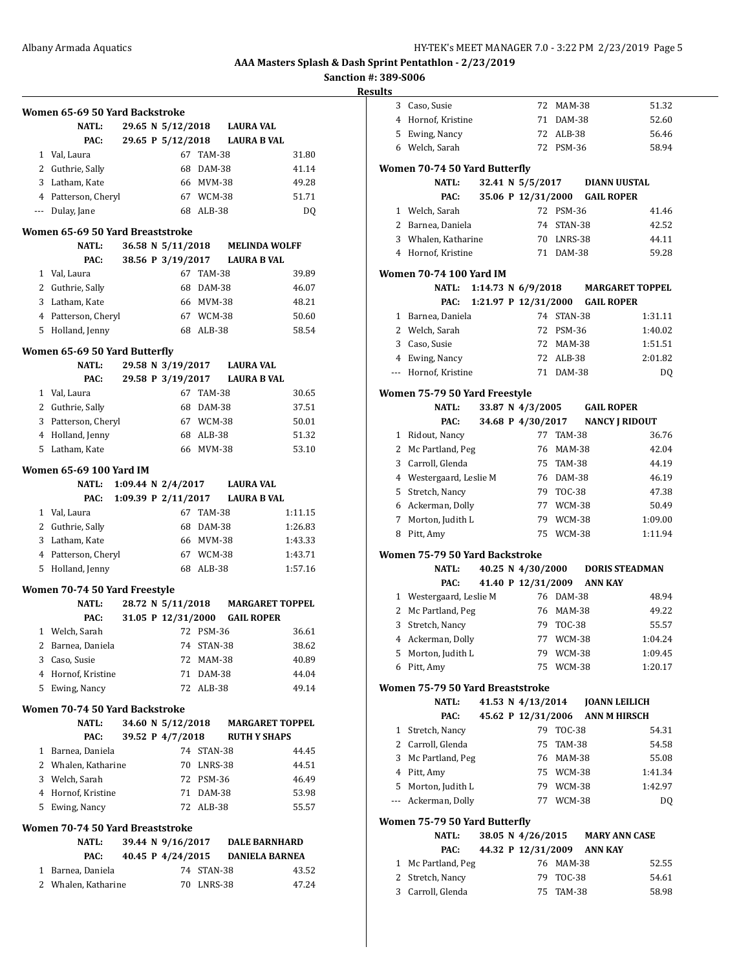**Sanction #: 389-S006**

|   | Women 65-69 50 Yard Backstroke<br><b>NATL:</b> |  | 29.65 N 5/12/2018     |            | <b>LAURA VAL</b>                |         |
|---|------------------------------------------------|--|-----------------------|------------|---------------------------------|---------|
|   | PAC:                                           |  |                       |            | 29.65 P 5/12/2018 LAURA B VAL   |         |
|   |                                                |  | 67                    |            |                                 |         |
|   | 1 Val, Laura                                   |  |                       | TAM-38     |                                 | 31.80   |
|   | 2 Guthrie, Sally                               |  | 68                    | DAM-38     |                                 | 41.14   |
|   | 3 Latham, Kate                                 |  |                       | 66 MVM-38  |                                 | 49.28   |
|   | 4 Patterson, Cheryl                            |  |                       | 67 WCM-38  |                                 | 51.71   |
|   | --- Dulay, Jane                                |  | 68                    | ALB-38     |                                 | DQ      |
|   | Women 65-69 50 Yard Breaststroke               |  |                       |            |                                 |         |
|   | <b>NATL:</b>                                   |  | 36.58 N 5/11/2018     |            | <b>MELINDA WOLFF</b>            |         |
|   | PAC:                                           |  |                       |            | 38.56 P 3/19/2017 LAURA B VAL   |         |
|   | 1 Val, Laura                                   |  | 67                    | TAM-38     |                                 | 39.89   |
|   | 2 Guthrie, Sally                               |  | 68                    | DAM-38     |                                 | 46.07   |
|   | 3 Latham, Kate                                 |  |                       | 66 MVM-38  |                                 | 48.21   |
|   | 4 Patterson, Cheryl                            |  |                       | 67 WCM-38  |                                 | 50.60   |
|   | 5 Holland, Jenny                               |  |                       | 68 ALB-38  |                                 | 58.54   |
|   |                                                |  |                       |            |                                 |         |
|   | Women 65-69 50 Yard Butterfly                  |  |                       |            |                                 |         |
|   | <b>NATL:</b>                                   |  |                       |            | 29.58 N 3/19/2017 LAURA VAL     |         |
|   | PAC:                                           |  | 29.58 P 3/19/2017     |            | <b>LAURA B VAL</b>              |         |
|   | 1 Val, Laura                                   |  |                       | 67 TAM-38  |                                 | 30.65   |
|   | 2 Guthrie, Sally                               |  |                       | 68 DAM-38  |                                 | 37.51   |
|   | 3 Patterson, Cheryl                            |  |                       | 67 WCM-38  |                                 | 50.01   |
|   | 4 Holland, Jenny                               |  |                       | 68 ALB-38  |                                 | 51.32   |
|   | 5 Latham, Kate                                 |  |                       | 66 MVM-38  |                                 | 53.10   |
|   |                                                |  |                       |            |                                 |         |
|   | <b>Women 65-69 100 Yard IM</b>                 |  |                       |            |                                 |         |
|   | NATL:                                          |  | 1:09.44 N 2/4/2017    |            | <b>LAURA VAL</b>                |         |
|   | PAC:                                           |  | 1:09.39 P $2/11/2017$ |            | <b>LAURA B VAL</b>              |         |
|   | 1 Val, Laura                                   |  |                       | 67 TAM-38  |                                 | 1:11.15 |
|   | 2 Guthrie, Sally                               |  | 68                    | DAM-38     |                                 | 1:26.83 |
|   | 3 Latham, Kate                                 |  |                       | 66 MVM-38  |                                 | 1:43.33 |
|   | 4 Patterson, Cheryl                            |  |                       | 67 WCM-38  |                                 | 1:43.71 |
| 5 | Holland, Jenny                                 |  |                       | 68 ALB-38  |                                 | 1:57.16 |
|   | Women 70-74 50 Yard Freestyle                  |  |                       |            |                                 |         |
|   | <b>NATL:</b>                                   |  | 28.72 N 5/11/2018     |            | <b>MARGARET TOPPEL</b>          |         |
|   | PAC:                                           |  | 31.05 P 12/31/2000    |            | <b>GAIL ROPER</b>               |         |
| 1 | Welch, Sarah                                   |  | 72                    | PSM-36     |                                 | 36.61   |
|   |                                                |  |                       | 74 STAN-38 |                                 |         |
|   | 2 Barnea, Daniela                              |  |                       |            |                                 | 38.62   |
|   | 3 Caso, Susie                                  |  |                       | 72 MAM-38  |                                 | 40.89   |
|   | 4 Hornof, Kristine                             |  |                       | 71 DAM-38  |                                 | 44.04   |
|   | 5 Ewing, Nancy                                 |  |                       | 72 ALB-38  |                                 | 49.14   |
|   | Women 70-74 50 Yard Backstroke                 |  |                       |            |                                 |         |
|   | <b>NATL:</b>                                   |  | 34.60 N 5/12/2018     |            | <b>MARGARET TOPPEL</b>          |         |
|   | PAC:                                           |  |                       |            | 39.52 P 4/7/2018 RUTH Y SHAPS   |         |
|   | 1 Barnea, Daniela                              |  |                       | 74 STAN-38 |                                 | 44.45   |
|   | 2 Whalen, Katharine                            |  |                       | 70 LNRS-38 |                                 | 44.51   |
|   | 3 Welch, Sarah                                 |  |                       | 72 PSM-36  |                                 | 46.49   |
|   | 4 Hornof, Kristine                             |  |                       | 71 DAM-38  |                                 | 53.98   |
|   | 5 Ewing, Nancy                                 |  |                       | 72 ALB-38  |                                 | 55.57   |
|   |                                                |  |                       |            |                                 |         |
|   | Women 70-74 50 Yard Breaststroke               |  |                       |            |                                 |         |
|   | NATL:                                          |  |                       |            | 39.44 N 9/16/2017 DALE BARNHARD |         |
|   | PAC:                                           |  | 40.45 P 4/24/2015     |            | <b>DANIELA BARNEA</b>           |         |
|   | 1 Barnea, Daniela                              |  |                       | 74 STAN-38 |                                 | 43.52   |
|   | 2 Whalen, Katharine                            |  |                       | 70 LNRS-38 |                                 | 47.24   |

| lts |                                        |  |                             |               |                |                                  |
|-----|----------------------------------------|--|-----------------------------|---------------|----------------|----------------------------------|
|     | 3 Caso, Susie                          |  |                             | 72 MAM-38     |                | 51.32                            |
|     | 4 Hornof, Kristine                     |  |                             | 71 DAM-38     |                | 52.60                            |
|     | 5 Ewing, Nancy                         |  |                             | 72 ALB-38     |                | 56.46                            |
|     | 6 Welch, Sarah                         |  |                             | 72 PSM-36     |                | 58.94                            |
|     | Women 70-74 50 Yard Butterfly          |  |                             |               |                |                                  |
|     | NATL:                                  |  |                             |               |                | 32.41 N 5/5/2017 DIANN UUSTAL    |
|     | PAC:                                   |  | 35.06 P 12/31/2000          |               |                | <b>GAIL ROPER</b>                |
|     | 1 Welch, Sarah                         |  |                             | 72 PSM-36     |                | 41.46                            |
|     | 2 Barnea, Daniela                      |  |                             | 74 STAN-38    |                | 42.52                            |
|     | 3 Whalen, Katharine                    |  |                             | 70 LNRS-38    |                | 44.11                            |
|     | 4 Hornof, Kristine                     |  |                             | 71 DAM-38     |                | 59.28                            |
|     | Women 70-74 100 Yard IM                |  |                             |               |                |                                  |
|     | NATL:                                  |  | 1:14.73 N 6/9/2018          |               |                | <b>MARGARET TOPPEL</b>           |
|     | PAC:                                   |  | 1:21.97 P 12/31/2000        |               |                | <b>GAIL ROPER</b>                |
|     | 1 Barnea, Daniela                      |  |                             | 74 STAN-38    |                | 1:31.11                          |
|     | 2 Welch, Sarah                         |  |                             | 72 PSM-36     |                | 1:40.02                          |
|     | 3 Caso, Susie                          |  |                             | 72 MAM-38     |                | 1:51.51                          |
|     | 4 Ewing, Nancy                         |  |                             | 72 ALB-38     |                | 2:01.82                          |
|     | --- Hornof, Kristine                   |  |                             | 71 DAM-38     |                | DQ                               |
|     |                                        |  |                             |               |                |                                  |
|     | Women 75-79 50 Yard Freestyle<br>NATL: |  | 33.87 N 4/3/2005 GAIL ROPER |               |                |                                  |
|     | PAC:                                   |  | 34.68 P 4/30/2017           |               |                | <b>NANCY J RIDOUT</b>            |
|     | 1 Ridout, Nancy                        |  |                             | 77 TAM-38     |                | 36.76                            |
|     | 2 Mc Partland, Peg                     |  |                             | 76 MAM-38     |                | 42.04                            |
|     | 3 Carroll, Glenda                      |  |                             | 75 TAM-38     |                | 44.19                            |
|     | 4 Westergaard, Leslie M                |  |                             | 76 DAM-38     |                | 46.19                            |
|     | 5 Stretch, Nancy                       |  |                             | 79 TOC-38     |                | 47.38                            |
|     | 6 Ackerman, Dolly                      |  |                             | 77 WCM-38     |                | 50.49                            |
|     | 7 Morton, Judith L                     |  | 79                          | WCM-38        |                | 1:09.00                          |
| 8   | Pitt, Amy                              |  | 75                          | WCM-38        |                | 1:11.94                          |
|     |                                        |  |                             |               |                |                                  |
|     | Women 75-79 50 Yard Backstroke         |  |                             |               |                |                                  |
|     | NATL:                                  |  |                             |               |                | 40.25 N 4/30/2000 DORIS STEADMAN |
|     | PAC:                                   |  | 41.40 P 12/31/2009          |               | <b>ANN KAY</b> |                                  |
|     | 1 Westergaard, Leslie M                |  |                             | 76 DAM-38     |                | 48.94                            |
|     | 2 Mc Partland, Peg                     |  |                             | 76 MAM-38     |                | 49.22                            |
|     | 3 Stretch, Nancy                       |  |                             | 79 TOC-38     |                | 55.57                            |
|     | 4 Ackerman, Dolly                      |  |                             | 77 WCM-38     |                | 1:04.24                          |
|     | 5 Morton, Judith L                     |  |                             | 79 WCM-38     |                | 1:09.45                          |
|     | 6 Pitt, Amy                            |  | 75                          | WCM-38        |                | 1:20.17                          |
|     | Women 75-79 50 Yard Breaststroke       |  |                             |               |                |                                  |
|     | <b>NATL:</b>                           |  | 41.53 N 4/13/2014           |               |                | <b>JOANN LEILICH</b>             |
|     | PAC:                                   |  | 45.62 P 12/31/2006          |               |                | ANN M HIRSCH                     |
|     | 1 Stretch, Nancy                       |  | 79                          | <b>TOC-38</b> |                | 54.31                            |
|     | 2 Carroll, Glenda                      |  | 75                          | TAM-38        |                | 54.58                            |
|     | 3 Mc Partland, Peg                     |  |                             | 76 MAM-38     |                | 55.08                            |
|     | 4 Pitt, Amy                            |  |                             | 75 WCM-38     |                | 1:41.34                          |
|     | 5 Morton, Judith L                     |  |                             | 79 WCM-38     |                | 1:42.97                          |
|     | --- Ackerman, Dolly                    |  |                             | 77 WCM-38     |                | DQ                               |
|     | Women 75-79 50 Yard Butterfly          |  |                             |               |                |                                  |
|     | <b>NATL:</b>                           |  | 38.05 N 4/26/2015           |               |                | <b>MARY ANN CASE</b>             |
|     | PAC:                                   |  | 44.32 P 12/31/2009          |               | <b>ANN KAY</b> |                                  |
|     | 1 Mc Partland, Peg                     |  |                             | 76 MAM-38     |                | 52.55                            |
|     |                                        |  |                             |               |                |                                  |
|     | 2 Stretch, Nancy                       |  | 79                          | <b>TOC-38</b> |                | 54.61                            |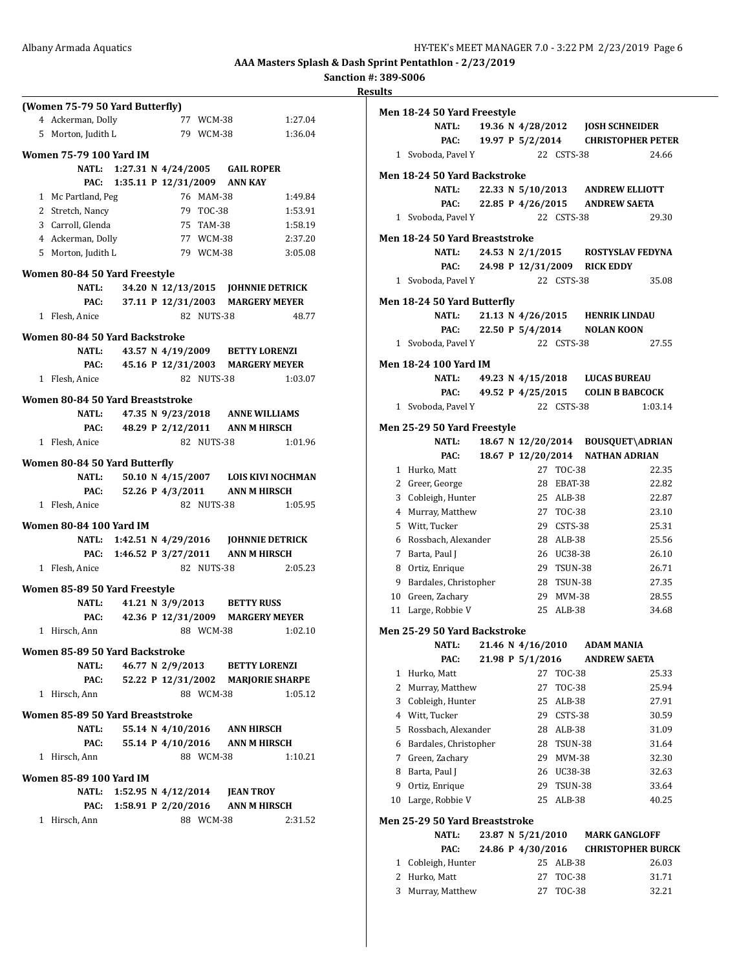| <b>Sanction #: 389-S006</b> |  |
|-----------------------------|--|
| <b>Results</b>              |  |
|                             |  |

| (Women 75-79 50 Yard Butterfly)<br>Women 75-79 100 Yard IM<br>Women 80-84 50 Yard Freestyle<br>Women 80-84 50 Yard Backstroke | 4 Ackerman, Dolly<br>5 Morton, Judith L<br>1 Mc Partland, Peg<br>2 Stretch, Nancy<br>3 Carroll, Glenda<br>4 Ackerman, Dolly<br>5 Morton, Judith L<br><b>NATL:</b><br>PAC:<br>1 Flesh, Anice<br>NATL: 43.57 N 4/19/2009 BETTY LORENZI<br>1 Flesh, Anice | PAC: 45.16 P 12/31/2003 MARGERY MEYER | 77 WCM-38<br>77 WCM-38<br>79 WCM-38<br>NATL: 1:27.31 N 4/24/2005 GAIL ROPER<br>PAC: 1:35.11 P 12/31/2009 ANN KAY<br>76 MAM-38<br>79 TOC-38<br>75 TAM-38<br>77 WCM-38<br>79 WCM-38<br>37.11 P 12/31/2003 MARGERY MEYER<br>82 NUTS-38 | 1:27.04<br>1:36.04<br>1:49.84<br>1:53.91<br>1:58.19<br>2:37.20<br>3:05.08<br>34.20 N 12/13/2015 JOHNNIE DETRICK | <b>Rest</b> |
|-------------------------------------------------------------------------------------------------------------------------------|--------------------------------------------------------------------------------------------------------------------------------------------------------------------------------------------------------------------------------------------------------|---------------------------------------|-------------------------------------------------------------------------------------------------------------------------------------------------------------------------------------------------------------------------------------|-----------------------------------------------------------------------------------------------------------------|-------------|
|                                                                                                                               |                                                                                                                                                                                                                                                        |                                       |                                                                                                                                                                                                                                     |                                                                                                                 |             |
|                                                                                                                               |                                                                                                                                                                                                                                                        |                                       |                                                                                                                                                                                                                                     |                                                                                                                 |             |
|                                                                                                                               |                                                                                                                                                                                                                                                        |                                       |                                                                                                                                                                                                                                     |                                                                                                                 |             |
|                                                                                                                               |                                                                                                                                                                                                                                                        |                                       |                                                                                                                                                                                                                                     |                                                                                                                 |             |
|                                                                                                                               |                                                                                                                                                                                                                                                        |                                       |                                                                                                                                                                                                                                     |                                                                                                                 |             |
|                                                                                                                               |                                                                                                                                                                                                                                                        |                                       |                                                                                                                                                                                                                                     |                                                                                                                 |             |
|                                                                                                                               |                                                                                                                                                                                                                                                        |                                       |                                                                                                                                                                                                                                     |                                                                                                                 |             |
|                                                                                                                               |                                                                                                                                                                                                                                                        |                                       |                                                                                                                                                                                                                                     |                                                                                                                 |             |
|                                                                                                                               |                                                                                                                                                                                                                                                        |                                       |                                                                                                                                                                                                                                     |                                                                                                                 |             |
|                                                                                                                               |                                                                                                                                                                                                                                                        |                                       |                                                                                                                                                                                                                                     |                                                                                                                 |             |
|                                                                                                                               |                                                                                                                                                                                                                                                        |                                       |                                                                                                                                                                                                                                     |                                                                                                                 |             |
|                                                                                                                               |                                                                                                                                                                                                                                                        |                                       |                                                                                                                                                                                                                                     |                                                                                                                 |             |
|                                                                                                                               |                                                                                                                                                                                                                                                        |                                       |                                                                                                                                                                                                                                     |                                                                                                                 |             |
|                                                                                                                               |                                                                                                                                                                                                                                                        |                                       |                                                                                                                                                                                                                                     |                                                                                                                 |             |
|                                                                                                                               |                                                                                                                                                                                                                                                        |                                       |                                                                                                                                                                                                                                     |                                                                                                                 |             |
|                                                                                                                               |                                                                                                                                                                                                                                                        |                                       |                                                                                                                                                                                                                                     | 48.77                                                                                                           |             |
|                                                                                                                               |                                                                                                                                                                                                                                                        |                                       |                                                                                                                                                                                                                                     |                                                                                                                 |             |
|                                                                                                                               |                                                                                                                                                                                                                                                        |                                       |                                                                                                                                                                                                                                     |                                                                                                                 |             |
|                                                                                                                               |                                                                                                                                                                                                                                                        |                                       |                                                                                                                                                                                                                                     |                                                                                                                 |             |
| Women 80-84 50 Yard Breaststroke                                                                                              |                                                                                                                                                                                                                                                        |                                       | 82 NUTS-38                                                                                                                                                                                                                          | 1:03.07                                                                                                         |             |
|                                                                                                                               |                                                                                                                                                                                                                                                        |                                       |                                                                                                                                                                                                                                     |                                                                                                                 |             |
|                                                                                                                               |                                                                                                                                                                                                                                                        |                                       |                                                                                                                                                                                                                                     |                                                                                                                 |             |
|                                                                                                                               | NATL:                                                                                                                                                                                                                                                  |                                       | 47.35 N 9/23/2018 ANNE WILLIAMS                                                                                                                                                                                                     |                                                                                                                 |             |
|                                                                                                                               |                                                                                                                                                                                                                                                        |                                       | PAC: 48.29 P 2/12/2011 ANN M HIRSCH                                                                                                                                                                                                 |                                                                                                                 |             |
|                                                                                                                               | 1 Flesh, Anice                                                                                                                                                                                                                                         |                                       | 82 NUTS-38                                                                                                                                                                                                                          | 1:01.96                                                                                                         |             |
| Women 80-84 50 Yard Butterfly                                                                                                 |                                                                                                                                                                                                                                                        |                                       |                                                                                                                                                                                                                                     |                                                                                                                 |             |
|                                                                                                                               | <b>NATL:</b>                                                                                                                                                                                                                                           |                                       |                                                                                                                                                                                                                                     | 50.10 N 4/15/2007 LOIS KIVI NOCHMAN                                                                             |             |
|                                                                                                                               |                                                                                                                                                                                                                                                        |                                       | PAC: 52.26 P 4/3/2011 ANN M HIRSCH                                                                                                                                                                                                  |                                                                                                                 |             |
|                                                                                                                               | 1 Flesh, Anice                                                                                                                                                                                                                                         |                                       | 82 NUTS-38                                                                                                                                                                                                                          | 1:05.95                                                                                                         |             |
|                                                                                                                               |                                                                                                                                                                                                                                                        |                                       |                                                                                                                                                                                                                                     |                                                                                                                 |             |
| Women 80-84 100 Yard IM                                                                                                       |                                                                                                                                                                                                                                                        |                                       |                                                                                                                                                                                                                                     |                                                                                                                 |             |
|                                                                                                                               |                                                                                                                                                                                                                                                        |                                       |                                                                                                                                                                                                                                     | NATL: 1:42.51 N 4/29/2016 JOHNNIE DETRICK                                                                       |             |
|                                                                                                                               |                                                                                                                                                                                                                                                        |                                       | PAC: 1:46.52 P 3/27/2011 ANN M HIRSCH                                                                                                                                                                                               |                                                                                                                 |             |
|                                                                                                                               | 1 Flesh, Anice                                                                                                                                                                                                                                         |                                       | 82 NUTS-38                                                                                                                                                                                                                          | 2:05.23                                                                                                         |             |
| Women 85-89 50 Yard Freestyle                                                                                                 |                                                                                                                                                                                                                                                        |                                       |                                                                                                                                                                                                                                     |                                                                                                                 |             |
|                                                                                                                               | NATL:                                                                                                                                                                                                                                                  |                                       | 41.21 N 3/9/2013 BETTY RUSS                                                                                                                                                                                                         |                                                                                                                 |             |
|                                                                                                                               |                                                                                                                                                                                                                                                        |                                       | PAC: 42.36 P 12/31/2009 MARGERY MEYER                                                                                                                                                                                               |                                                                                                                 |             |
|                                                                                                                               | 1 Hirsch, Ann                                                                                                                                                                                                                                          |                                       | 88 WCM-38                                                                                                                                                                                                                           | 1:02.10                                                                                                         |             |
|                                                                                                                               |                                                                                                                                                                                                                                                        |                                       |                                                                                                                                                                                                                                     |                                                                                                                 |             |
| Women 85-89 50 Yard Backstroke                                                                                                |                                                                                                                                                                                                                                                        |                                       |                                                                                                                                                                                                                                     |                                                                                                                 |             |
|                                                                                                                               | <b>NATL:</b>                                                                                                                                                                                                                                           |                                       | 46.77 N 2/9/2013 BETTY LORENZI                                                                                                                                                                                                      |                                                                                                                 |             |
|                                                                                                                               | PAC:<br>1 Hirsch, Ann                                                                                                                                                                                                                                  |                                       | 88 WCM-38                                                                                                                                                                                                                           | 52.22 P 12/31/2002 MARJORIE SHARPE<br>1:05.12                                                                   |             |
|                                                                                                                               |                                                                                                                                                                                                                                                        |                                       |                                                                                                                                                                                                                                     |                                                                                                                 |             |
| Women 85-89 50 Yard Breaststroke                                                                                              |                                                                                                                                                                                                                                                        |                                       |                                                                                                                                                                                                                                     |                                                                                                                 |             |
|                                                                                                                               | NATL:                                                                                                                                                                                                                                                  |                                       | 55.14 N 4/10/2016 ANN HIRSCH                                                                                                                                                                                                        |                                                                                                                 |             |
|                                                                                                                               |                                                                                                                                                                                                                                                        |                                       | PAC: 55.14 P 4/10/2016 ANN M HIRSCH                                                                                                                                                                                                 |                                                                                                                 |             |
|                                                                                                                               | 1 Hirsch, Ann                                                                                                                                                                                                                                          |                                       | 88 WCM-38                                                                                                                                                                                                                           | 1:10.21                                                                                                         |             |
| Women 85-89 100 Yard IM                                                                                                       |                                                                                                                                                                                                                                                        |                                       |                                                                                                                                                                                                                                     |                                                                                                                 |             |
|                                                                                                                               |                                                                                                                                                                                                                                                        |                                       | NATL: 1:52.95 N 4/12/2014 JEAN TROY                                                                                                                                                                                                 |                                                                                                                 |             |
|                                                                                                                               |                                                                                                                                                                                                                                                        |                                       | PAC: 1:58.91 P 2/20/2016 ANN M HIRSCH                                                                                                                                                                                               |                                                                                                                 |             |
|                                                                                                                               | 1 Hirsch, Ann                                                                                                                                                                                                                                          |                                       | 88 WCM-38                                                                                                                                                                                                                           | 2:31.52                                                                                                         |             |
|                                                                                                                               |                                                                                                                                                                                                                                                        |                                       |                                                                                                                                                                                                                                     |                                                                                                                 |             |

|                | Men 18-24 50 Yard Freestyle         |  |                   |                |                                    |                                    |
|----------------|-------------------------------------|--|-------------------|----------------|------------------------------------|------------------------------------|
|                | NATL:                               |  |                   |                | 19.36 N 4/28/2012 JOSH SCHNEIDER   |                                    |
|                | PAC:                                |  |                   |                |                                    | 19.97 P 5/2/2014 CHRISTOPHER PETER |
|                | 1 Svoboda, Pavel Y                  |  |                   | 22 CSTS-38     |                                    | 24.66                              |
|                |                                     |  |                   |                |                                    |                                    |
|                | Men 18-24 50 Yard Backstroke        |  |                   |                |                                    |                                    |
|                | <b>NATL:</b>                        |  |                   |                | 22.33 N 5/10/2013 ANDREW ELLIOTT   |                                    |
|                | PAC:                                |  | 22.85 P 4/26/2015 |                | <b>ANDREW SAETA</b>                |                                    |
|                | 1 Svoboda, Pavel Y                  |  |                   | 22 CSTS-38     |                                    | 29.30                              |
|                | Men 18-24 50 Yard Breaststroke      |  |                   |                |                                    |                                    |
|                | <b>NATL:</b>                        |  |                   |                | 24.53 N 2/1/2015 ROSTYSLAV FEDYNA  |                                    |
|                | PAC:                                |  |                   |                | 24.98 P 12/31/2009 RICK EDDY       |                                    |
|                | 1 Svoboda, Pavel Y                  |  |                   | 22 CSTS-38     |                                    | 35.08                              |
|                | Men 18-24 50 Yard Butterfly         |  |                   |                |                                    |                                    |
|                | <b>NATL:</b>                        |  |                   |                | 21.13 N 4/26/2015 HENRIK LINDAU    |                                    |
|                | PAC:                                |  | 22.50 P 5/4/2014  |                | <b>NOLAN KOON</b>                  |                                    |
|                | 1 Svoboda, Pavel Y                  |  |                   | 22 CSTS-38     |                                    | 27.55                              |
|                |                                     |  |                   |                |                                    |                                    |
|                | <b>Men 18-24 100 Yard IM</b>        |  |                   |                |                                    |                                    |
|                | NATL:                               |  |                   |                | 49.23 N 4/15/2018 LUCAS BUREAU     |                                    |
|                | PAC:                                |  | 49.52 P 4/25/2015 | 22 CSTS-38     | <b>COLIN B BABCOCK</b>             |                                    |
|                | 1 Svoboda, Pavel Y                  |  |                   |                |                                    | 1:03.14                            |
|                | Men 25-29 50 Yard Freestyle         |  |                   |                |                                    |                                    |
|                | <b>NATL:</b>                        |  |                   |                | 18.67 N 12/20/2014 BOUSQUET\ADRIAN |                                    |
|                | PAC:                                |  |                   |                | 18.67 P 12/20/2014 NATHAN ADRIAN   |                                    |
|                | 1 Hurko, Matt                       |  |                   | 27 TOC-38      |                                    | 22.35                              |
|                | 2 Greer, George                     |  |                   | 28 EBAT-38     |                                    | 22.82                              |
|                | 3 Cobleigh, Hunter                  |  |                   | 25 ALB-38      |                                    | 22.87                              |
|                | 4 Murray, Matthew                   |  |                   | 27 TOC-38      |                                    | 23.10                              |
|                | 5 Witt, Tucker                      |  |                   | 29 CSTS-38     |                                    | 25.31                              |
|                | 6 Rossbach, Alexander               |  |                   | 28 ALB-38      |                                    | 25.56                              |
| 7              | Barta, Paul J                       |  |                   | 26 UC38-38     |                                    | 26.10                              |
|                | 8 Ortiz, Enrique                    |  | 29                | <b>TSUN-38</b> |                                    | 26.71                              |
|                | 9 Bardales, Christopher             |  | 28                | TSUN-38        |                                    | 27.35                              |
|                | 10 Green, Zachary                   |  | 29                | <b>MVM-38</b>  |                                    | 28.55                              |
| 11             | Large, Robbie V                     |  | 25                | $ALB-38$       |                                    | 34.68                              |
|                | <b>Men 25-29 50 Yard Backstroke</b> |  |                   |                |                                    |                                    |
|                | <b>NATL:</b>                        |  | 21.46 N 4/16/2010 |                | <b>ADAM MANIA</b>                  |                                    |
|                | PAC:                                |  | 21.98 P 5/1/2016  |                | <b>ANDREW SAETA</b>                |                                    |
| 1              | Hurko, Matt                         |  | 27                | <b>TOC-38</b>  |                                    | 25.33                              |
| 2              | Murray, Matthew                     |  | 27                | TOC-38         |                                    | 25.94                              |
| 3              | Cobleigh, Hunter                    |  | 25                | ALB-38         |                                    | 27.91                              |
|                | 4 Witt, Tucker                      |  | 29                | CSTS-38        |                                    | 30.59                              |
| 5              | Rossbach, Alexander                 |  | 28                | ALB-38         |                                    | 31.09                              |
| 6              | Bardales, Christopher               |  | 28                | TSUN-38        |                                    | 31.64                              |
| 7              | Green, Zachary                      |  | 29                | MVM-38         |                                    | 32.30                              |
| 8              | Barta, Paul J                       |  | 26                | UC38-38        |                                    | 32.63                              |
| 9              | Ortiz, Enrique                      |  | 29                | TSUN-38        |                                    | 33.64                              |
| 10             | Large, Robbie V                     |  | 25                | ALB-38         |                                    | 40.25                              |
|                | Men 25-29 50 Yard Breaststroke      |  |                   |                |                                    |                                    |
|                | <b>NATL:</b>                        |  | 23.87 N 5/21/2010 |                | <b>MARK GANGLOFF</b>               |                                    |
|                | PAC:                                |  | 24.86 P 4/30/2016 |                |                                    | <b>CHRISTOPHER BURCK</b>           |
| $\mathbf{1}$   | Cobleigh, Hunter                    |  | 25                | ALB-38         |                                    | 26.03                              |
| $\overline{2}$ | Hurko, Matt                         |  | 27                | <b>TOC-38</b>  |                                    | 31.71                              |

3 Murray, Matthew 27 TOC-38 32.21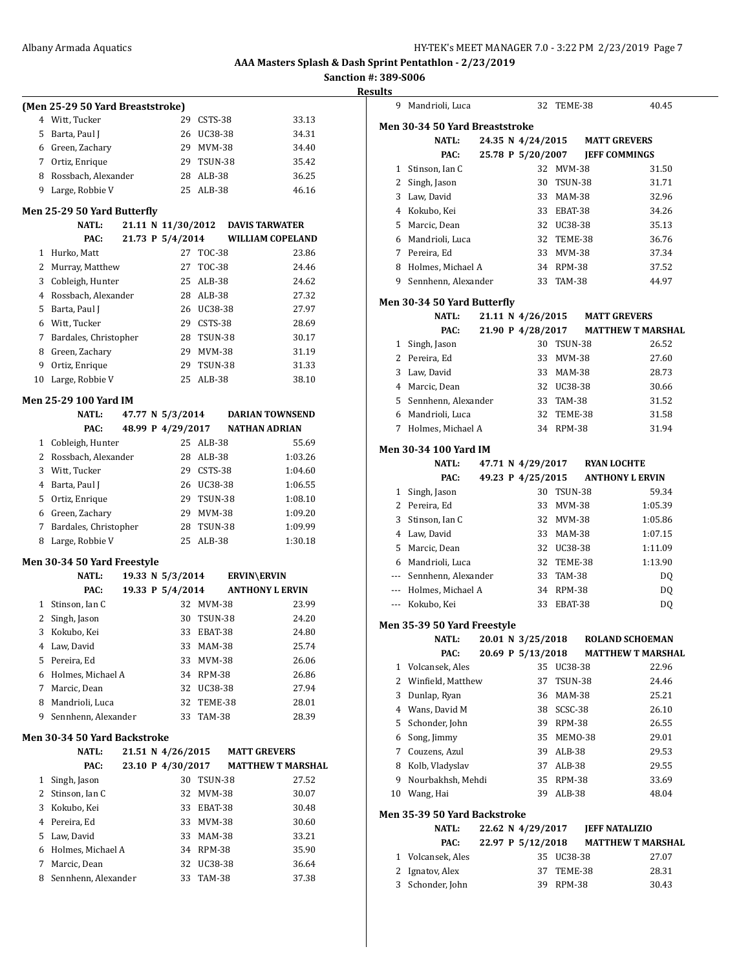**Sanction #: 389-S006 Results**

|              | (Men 25-29 50 Yard Breaststroke) |  |                    |               |                          |         |
|--------------|----------------------------------|--|--------------------|---------------|--------------------------|---------|
| 4            | Witt, Tucker                     |  | 29                 | CSTS-38       |                          | 33.13   |
| 5            | Barta, Paul J                    |  | 26                 | UC38-38       |                          | 34.31   |
|              | 6 Green, Zachary                 |  | 29                 | <b>MVM-38</b> |                          | 34.40   |
|              | 7 Ortiz, Enrique                 |  | 29                 | TSUN-38       |                          | 35.42   |
|              | 8 Rossbach, Alexander            |  |                    | 28 ALB-38     |                          | 36.25   |
| 9            | Large, Robbie V                  |  | 25                 | ALB-38        |                          | 46.16   |
|              |                                  |  |                    |               |                          |         |
|              | Men 25-29 50 Yard Butterfly      |  |                    |               |                          |         |
|              | <b>NATL:</b>                     |  | 21.11 N 11/30/2012 |               | <b>DAVIS TARWATER</b>    |         |
|              | PAC:                             |  | 21.73 P 5/4/2014   |               | <b>WILLIAM COPELAND</b>  |         |
| 1            | Hurko, Matt                      |  | 27                 | TOC-38        |                          | 23.86   |
| 2            | Murray, Matthew                  |  | 27                 | TOC-38        |                          | 24.46   |
| 3            | Cobleigh, Hunter                 |  | 25                 | ALB-38        |                          | 24.62   |
|              | 4 Rossbach, Alexander            |  | 28                 | ALB-38        |                          | 27.32   |
| 5            | Barta, Paul J                    |  |                    | 26 UC38-38    |                          | 27.97   |
|              | 6 Witt, Tucker                   |  | 29                 | CSTS-38       |                          | 28.69   |
|              | 7 Bardales, Christopher          |  | 28                 | TSUN-38       |                          | 30.17   |
| 8            | Green, Zachary                   |  | 29                 | <b>MVM-38</b> |                          | 31.19   |
| 9            | Ortiz, Enrique                   |  | 29                 | TSUN-38       |                          | 31.33   |
| 10           | Large, Robbie V                  |  | 25                 | ALB-38        |                          | 38.10   |
|              | Men 25-29 100 Yard IM            |  |                    |               |                          |         |
|              |                                  |  |                    |               |                          |         |
|              | NATL:                            |  | 47.77 N 5/3/2014   |               | DARIAN TOWNSEND          |         |
|              | PAC:                             |  | 48.99 P 4/29/2017  |               | NATHAN ADRIAN            |         |
| $\mathbf{1}$ | Cobleigh, Hunter                 |  | 25                 | ALB-38        |                          | 55.69   |
|              | 2 Rossbach, Alexander            |  | 28                 | ALB-38        |                          | 1:03.26 |
|              | 3 Witt, Tucker                   |  | 29                 | CSTS-38       |                          | 1:04.60 |
|              | 4 Barta, Paul J                  |  |                    | 26 UC38-38    |                          | 1:06.55 |
|              | 5 Ortiz, Enrique                 |  | 29                 | TSUN-38       |                          | 1:08.10 |
|              | 6 Green, Zachary                 |  | 29                 | MVM-38        |                          | 1:09.20 |
| 7            | Bardales, Christopher            |  | 28                 | TSUN-38       |                          | 1:09.99 |
| 8            | Large, Robbie V                  |  | 25                 | ALB-38        |                          | 1:30.18 |
|              | Men 30-34 50 Yard Freestyle      |  |                    |               |                          |         |
|              | <b>NATL:</b>                     |  | 19.33 N 5/3/2014   |               | <b>ERVIN\ERVIN</b>       |         |
|              | PAC:                             |  | 19.33 P 5/4/2014   |               | <b>ANTHONY L ERVIN</b>   |         |
| $\mathbf{1}$ | Stinson, Ian C                   |  | 32                 | MVM-38        |                          | 23.99   |
| 2            | Singh, Jason                     |  | 30                 | TSUN-38       |                          | 24.20   |
|              | 3 Kokubo, Kei                    |  |                    | 33 EBAT-38    |                          | 24.80   |
|              | 4 Law, David                     |  | 33                 | <b>MAM-38</b> |                          | 25.74   |
| 5            | Pereira, Ed                      |  | 33                 | MVM-38        |                          | 26.06   |
|              | 6 Holmes, Michael A              |  | 34                 | RPM-38        |                          | 26.86   |
| 7            | Marcic, Dean                     |  | 32                 | UC38-38       |                          | 27.94   |
|              | 8 Mandrioli, Luca                |  | 32                 | TEME-38       |                          | 28.01   |
| 9.           | Sennhenn, Alexander              |  | 33                 | TAM-38        |                          | 28.39   |
|              |                                  |  |                    |               |                          |         |
|              | Men 30-34 50 Yard Backstroke     |  |                    |               |                          |         |
|              | NATL:                            |  | 21.51 N 4/26/2015  |               | <b>MATT GREVERS</b>      |         |
|              | PAC:                             |  | 23.10 P 4/30/2017  |               | <b>MATTHEW T MARSHAL</b> |         |
|              | 1 Singh, Jason                   |  | 30                 | TSUN-38       |                          | 27.52   |
|              | 2 Stinson, Ian C                 |  | 32                 | MVM-38        |                          | 30.07   |
| 3            | Kokubo, Kei                      |  | 33                 | EBAT-38       |                          | 30.48   |
|              | 4 Pereira, Ed                    |  | 33                 | MVM-38        |                          | 30.60   |
| 5.           | Law, David                       |  | 33                 | MAM-38        |                          | 33.21   |
| 6            | Holmes, Michael A                |  | 34                 | RPM-38        |                          | 35.90   |
| 7            | Marcic, Dean                     |  | 32                 | UC38-38       |                          | 36.64   |
| 8            | Sennhenn, Alexander              |  | 33                 | <b>TAM-38</b> |                          | 37.38   |
|              |                                  |  |                    |               |                          |         |

| 9  | Mandrioli, Luca                |  | 32                | TEME-38       |                                | 40.45   |
|----|--------------------------------|--|-------------------|---------------|--------------------------------|---------|
|    | Men 30-34 50 Yard Breaststroke |  |                   |               |                                |         |
|    | <b>NATL:</b>                   |  |                   |               | 24.35 N 4/24/2015 MATT GREVERS |         |
|    | PAC:                           |  | 25.78 P 5/20/2007 |               | <b>JEFF COMMINGS</b>           |         |
|    | 1 Stinson, Ian C               |  | 32                | MVM-38        |                                | 31.50   |
|    | 2 Singh, Jason                 |  | 30                | TSUN-38       |                                | 31.71   |
|    | 3 Law, David                   |  |                   | 33 MAM-38     |                                | 32.96   |
|    | 4 Kokubo, Kei                  |  |                   | 33 EBAT-38    |                                | 34.26   |
|    | 5 Marcic, Dean                 |  |                   | 32 UC38-38    |                                | 35.13   |
|    | 6 Mandrioli, Luca              |  |                   | 32 TEME-38    |                                | 36.76   |
|    | 7 Pereira. Ed                  |  |                   | 33 MVM-38     |                                | 37.34   |
|    | 8 Holmes, Michael A            |  |                   | 34 RPM-38     |                                | 37.52   |
|    | 9 Sennhenn, Alexander          |  |                   | 33 TAM-38     |                                | 44.97   |
|    |                                |  |                   |               |                                |         |
|    | Men 30-34 50 Yard Butterfly    |  |                   |               |                                |         |
|    | <b>NATL:</b>                   |  | 21.11 N 4/26/2015 |               | <b>MATT GREVERS</b>            |         |
|    | PAC:                           |  | 21.90 P 4/28/2017 |               | <b>MATTHEW T MARSHAL</b>       |         |
|    | 1 Singh, Jason                 |  |                   | 30 TSUN-38    |                                | 26.52   |
|    | 2 Pereira, Ed                  |  |                   | 33 MVM-38     |                                | 27.60   |
|    | 3 Law, David                   |  |                   | 33 MAM-38     |                                | 28.73   |
|    | 4 Marcic, Dean                 |  |                   | 32 UC38-38    |                                | 30.66   |
|    | 5 Sennhenn, Alexander          |  |                   | 33 TAM-38     |                                | 31.52   |
|    | 6 Mandrioli, Luca              |  |                   | 32 TEME-38    |                                | 31.58   |
|    | 7 Holmes, Michael A            |  |                   | 34 RPM-38     |                                | 31.94   |
|    | Men 30-34 100 Yard IM          |  |                   |               |                                |         |
|    | <b>NATL:</b>                   |  |                   |               | 47.71 N 4/29/2017 RYAN LOCHTE  |         |
|    | PAC:                           |  | 49.23 P 4/25/2015 |               | <b>ANTHONY L ERVIN</b>         |         |
|    | 1 Singh, Jason                 |  |                   | 30 TSUN-38    |                                | 59.34   |
|    | 2 Pereira, Ed                  |  | 33                | MVM-38        |                                | 1:05.39 |
|    | 3 Stinson, Ian C               |  |                   | 32 MVM-38     |                                | 1:05.86 |
|    | 4 Law, David                   |  |                   | 33 MAM-38     |                                | 1:07.15 |
|    | 5 Marcic, Dean                 |  |                   | 32 UC38-38    |                                | 1:11.09 |
|    | 6 Mandrioli, Luca              |  |                   | 32 TEME-38    |                                | 1:13.90 |
|    | --- Sennhenn, Alexander        |  |                   | 33 TAM-38     |                                | DQ      |
|    | --- Holmes, Michael A          |  |                   | 34 RPM-38     |                                | DQ      |
|    | --- Kokubo, Kei                |  |                   | 33 EBAT-38    |                                | DQ      |
|    |                                |  |                   |               |                                |         |
|    | Men 35-39 50 Yard Freestyle    |  |                   |               |                                |         |
|    | <b>NATL:</b>                   |  | 20.01 N 3/25/2018 |               | <b>ROLAND SCHOEMAN</b>         |         |
|    | PAC:                           |  | 20.69 P 5/13/2018 |               | <b>MATTHEW T MARSHAL</b>       |         |
| 1  | Volcansek, Ales                |  | 35                | UC38-38       |                                | 22.96   |
| 2  | Winfield, Matthew              |  | 37                | TSUN-38       |                                | 24.46   |
| 3  | Dunlap, Ryan                   |  | 36                | <b>MAM-38</b> |                                | 25.21   |
|    | 4 Wans, David M                |  | 38                | SCSC-38       |                                | 26.10   |
| 5  | Schonder, John                 |  | 39                | RPM-38        |                                | 26.55   |
|    | 6 Song, Jimmy                  |  | 35                | MEMO-38       |                                | 29.01   |
| 7  | Couzens, Azul                  |  | 39                | ALB-38        |                                | 29.53   |
| 8  | Kolb, Vladyslav                |  | 37                | ALB-38        |                                | 29.55   |
| 9  | Nourbakhsh, Mehdi              |  | 35                | <b>RPM-38</b> |                                | 33.69   |
| 10 | Wang, Hai                      |  | 39                | $ALB-38$      |                                | 48.04   |
|    | Men 35-39 50 Yard Backstroke   |  |                   |               |                                |         |
|    | <b>NATL:</b>                   |  | 22.62 N 4/29/2017 |               | <b>JEFF NATALIZIO</b>          |         |
|    | PAC:                           |  | 22.97 P 5/12/2018 |               | <b>MATTHEW T MARSHAL</b>       |         |
|    | 1 Volcansek, Ales              |  | 35                | UC38-38       |                                | 27.07   |
| 2  | Ignatov, Alex                  |  | 37                | TEME-38       |                                | 28.31   |
| 3  | Schonder, John                 |  | 39                | <b>RPM-38</b> |                                | 30.43   |
|    |                                |  |                   |               |                                |         |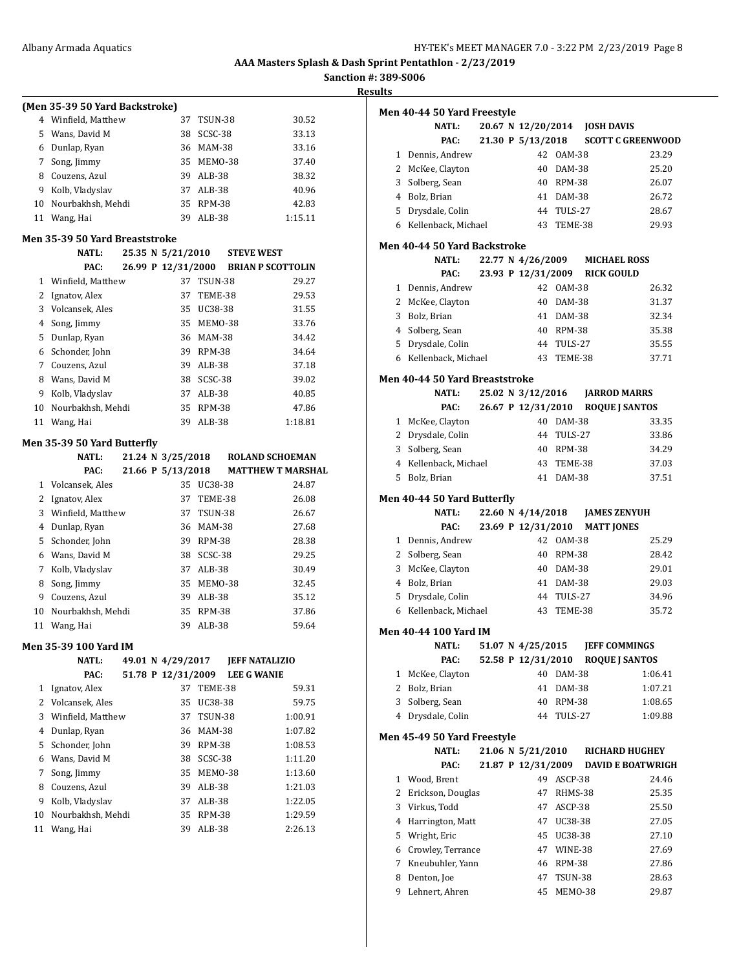**Sanction #: 389-S006**

**Results**

|                | (Men 35-39 50 Yard Backstroke) |  |                    |                       |                          |                    |
|----------------|--------------------------------|--|--------------------|-----------------------|--------------------------|--------------------|
|                | 4 Winfield, Matthew            |  | 37                 | TSUN-38               |                          | 30.52              |
|                | 5 Wans, David M                |  | 38                 | SCSC-38               |                          | 33.13              |
|                | 6 Dunlap, Ryan                 |  |                    | 36 MAM-38             |                          | 33.16              |
| 7              | Song, Jimmy                    |  |                    | 35 MEM0-38            |                          | 37.40              |
|                | 8 Couzens, Azul                |  |                    | 39 ALB-38             |                          | 38.32              |
|                | 9 Kolb, Vladyslav              |  |                    | 37 ALB-38             |                          | 40.96              |
|                | 10 Nourbakhsh, Mehdi           |  |                    | 35 RPM-38             |                          | 42.83              |
| 11             | Wang, Hai                      |  | 39                 | ALB-38                |                          | 1:15.11            |
|                | Men 35-39 50 Yard Breaststroke |  |                    |                       |                          |                    |
|                | NATL:                          |  | 25.35 N 5/21/2010  |                       | <b>STEVE WEST</b>        |                    |
|                | PAC:                           |  | 26.99 P 12/31/2000 |                       | <b>BRIAN P SCOTTOLIN</b> |                    |
|                | 1 Winfield, Matthew            |  | 37                 | TSUN-38               |                          | 29.27              |
|                | 2 Ignatov, Alex                |  |                    | 37 TEME-38            |                          | 29.53              |
|                | 3 Volcansek, Ales              |  |                    | 35 UC38-38            |                          | 31.55              |
|                | 4 Song, Jimmy                  |  |                    | 35 MEMO-38            |                          | 33.76              |
| 5              | Dunlap, Ryan                   |  |                    | 36 MAM-38             |                          | 34.42              |
|                | 6 Schonder, John               |  |                    | 39 RPM-38             |                          | 34.64              |
|                | 7 Couzens, Azul                |  |                    | 39 ALB-38             |                          | 37.18              |
|                | 8 Wans, David M                |  |                    | 38 SCSC-38            |                          | 39.02              |
|                | 9 Kolb, Vladyslav              |  |                    | 37 ALB-38             |                          | 40.85              |
|                | 10 Nourbakhsh, Mehdi           |  |                    | 35 RPM-38             |                          | 47.86              |
| 11             | Wang, Hai                      |  |                    | 39 ALB-38             |                          | 1:18.81            |
|                | Men 35-39 50 Yard Butterfly    |  |                    |                       |                          |                    |
|                | <b>NATL:</b>                   |  | 21.24 N 3/25/2018  |                       | <b>ROLAND SCHOEMAN</b>   |                    |
|                | PAC:                           |  | 21.66 P 5/13/2018  |                       | <b>MATTHEW T MARSHAL</b> |                    |
|                | 1 Volcansek, Ales              |  | 35                 | UC38-38               |                          | 24.87              |
|                | 2 Ignatov, Alex                |  |                    | 37 TEME-38            |                          | 26.08              |
|                | 3 Winfield, Matthew            |  |                    | 37 TSUN-38            |                          | 26.67              |
|                | 4 Dunlap, Ryan                 |  |                    | 36 MAM-38             |                          | 27.68              |
|                | 5 Schonder, John               |  |                    | 39 RPM-38             |                          | 28.38              |
|                | 6 Wans, David M                |  |                    | 38 SCSC-38            |                          | 29.25              |
| 7              | Kolb, Vladyslav                |  |                    | 37 ALB-38             |                          | 30.49              |
| 8              | Song, Jimmy                    |  |                    | 35 MEMO-38            |                          |                    |
|                | 9 Couzens, Azul                |  |                    |                       |                          |                    |
| 10             |                                |  |                    | 39 ALB-38             |                          | 32.45<br>35.12     |
|                |                                |  |                    |                       |                          |                    |
| 11             | Nourbakhsh, Mehdi<br>Wang, Hai |  | 39                 | 35 RPM-38<br>$ALB-38$ |                          | 37.86<br>59.64     |
|                |                                |  |                    |                       |                          |                    |
|                | Men 35-39 100 Yard IM          |  |                    |                       |                          |                    |
|                | NATL:                          |  | 49.01 N 4/29/2017  |                       | <b>JEFF NATALIZIO</b>    |                    |
|                | PAC:                           |  | 51.78 P 12/31/2009 |                       | <b>LEE G WANIE</b>       |                    |
| 1              | Ignatov, Alex                  |  | 37                 | TEME-38               |                          | 59.31              |
| $\overline{2}$ | Volcansek, Ales                |  | 35                 | UC38-38               |                          | 59.75              |
| 3              | Winfield, Matthew              |  | 37                 | TSUN-38               |                          | 1:00.91            |
| $\overline{4}$ | Dunlap, Ryan                   |  | 36                 | MAM-38                |                          | 1:07.82            |
| 5              | Schonder, John                 |  | 39                 | <b>RPM-38</b>         |                          | 1:08.53            |
| 6              | Wans, David M                  |  | 38                 | SCSC-38               |                          | 1:11.20            |
| 7              | Song, Jimmy                    |  | 35                 | MEMO-38               |                          | 1:13.60            |
| 8              | Couzens, Azul                  |  | 39                 | ALB-38                |                          | 1:21.03            |
| 9              | Kolb, Vladyslav                |  | 37                 | ALB-38                |                          | 1:22.05            |
| 10<br>11       | Nourbakhsh, Mehdi<br>Wang, Hai |  | 35<br>39           | RPM-38<br>ALB-38      |                          | 1:29.59<br>2:26.13 |

| uits         |                                             |  |                    |                  |                          |
|--------------|---------------------------------------------|--|--------------------|------------------|--------------------------|
|              | Men 40-44 50 Yard Freestyle                 |  |                    |                  |                          |
|              | <b>NATL:</b>                                |  | 20.67 N 12/20/2014 |                  | <b>JOSH DAVIS</b>        |
|              | PAC:                                        |  | 21.30 P 5/13/2018  |                  | <b>SCOTT C GREENWOOD</b> |
| $\mathbf{1}$ | Dennis, Andrew                              |  |                    | 42 0AM-38        | 23.29                    |
|              | 2 McKee, Clayton                            |  |                    | 40 DAM-38        | 25.20                    |
| 3            | Solberg, Sean                               |  |                    | 40 RPM-38        | 26.07                    |
|              | 4 Bolz, Brian                               |  |                    | 41 DAM-38        | 26.72                    |
|              | 5 Drysdale, Colin                           |  | 44                 | TULS-27          | 28.67                    |
|              | 6 Kellenback, Michael                       |  | 43                 | TEME-38          | 29.93                    |
|              | Men 40-44 50 Yard Backstroke                |  |                    |                  |                          |
|              | <b>NATL:</b>                                |  | 22.77 N 4/26/2009  |                  | <b>MICHAEL ROSS</b>      |
|              | PAC:                                        |  | 23.93 P 12/31/2009 |                  | <b>RICK GOULD</b>        |
|              | 1 Dennis, Andrew                            |  |                    | 42 0AM-38        | 26.32                    |
| $\mathbf{2}$ | McKee, Clayton                              |  | 40                 | DAM-38           | 31.37                    |
| 3            | Bolz, Brian                                 |  |                    | 41 DAM-38        | 32.34                    |
|              | 4 Solberg, Sean                             |  |                    | 40 RPM-38        | 35.38                    |
|              | 5 Drysdale, Colin                           |  | 44                 | TULS-27          | 35.55                    |
|              | 6 Kellenback, Michael                       |  | 43                 | TEME-38          | 37.71                    |
|              | Men 40-44 50 Yard Breaststroke              |  |                    |                  |                          |
|              | <b>NATL:</b>                                |  | 25.02 N 3/12/2016  |                  | <b>JARROD MARRS</b>      |
|              | PAC:                                        |  | 26.67 P 12/31/2010 |                  | <b>ROQUE I SANTOS</b>    |
|              | 1 McKee, Clayton                            |  |                    | 40 DAM-38        | 33.35                    |
|              | 2 Drysdale, Colin                           |  |                    | 44 TULS-27       | 33.86                    |
|              | 3 Solberg, Sean                             |  |                    | 40 RPM-38        | 34.29                    |
|              | 4 Kellenback, Michael                       |  | 43                 | TEME-38          | 37.03                    |
|              | 5 Bolz, Brian                               |  | 41                 | DAM-38           | 37.51                    |
|              | Men 40-44 50 Yard Butterfly                 |  |                    |                  |                          |
|              | NATL:                                       |  | 22.60 N 4/14/2018  |                  | <b>JAMES ZENYUH</b>      |
|              | PAC:                                        |  | 23.69 P 12/31/2010 |                  | <b>MATT JONES</b>        |
|              | 1 Dennis, Andrew                            |  |                    | 42 0AM-38        | 25.29                    |
|              | 2 Solberg, Sean                             |  |                    | 40 RPM-38        | 28.42                    |
| 3            | McKee, Clayton                              |  |                    | 40 DAM-38        | 29.01                    |
|              | 4 Bolz, Brian                               |  |                    | 41 DAM-38        | 29.03                    |
| 5            | Drysdale, Colin                             |  | 44                 | TULS-27          | 34.96                    |
|              | 6 Kellenback, Michael                       |  | 43                 | TEME-38          | 35.72                    |
|              | Men 40-44 100 Yard IM                       |  |                    |                  |                          |
|              | NATL:                                       |  | 51.07 N 4/25/2015  |                  | <b>JEFF COMMINGS</b>     |
|              | PAC:                                        |  | 52.58 P 12/31/2010 |                  | <b>ROQUE J SANTOS</b>    |
| 1<br>2       | McKee, Clayton                              |  | 40                 | DAM-38           | 1:06.41                  |
|              | Bolz, Brian<br>3 Solberg, Sean              |  | 41<br>40           | DAM-38<br>RPM-38 | 1:07.21<br>1:08.65       |
|              | 4 Drysdale, Colin                           |  | 44                 | TULS-27          |                          |
|              |                                             |  |                    |                  | 1:09.88                  |
|              | Men 45-49 50 Yard Freestyle<br><b>NATL:</b> |  | 21.06 N 5/21/2010  |                  | <b>RICHARD HUGHEY</b>    |
|              | PAC:                                        |  | 21.87 P 12/31/2009 |                  | <b>DAVID E BOATWRIGH</b> |
| 1            | Wood, Brent                                 |  | 49                 | ASCP-38          | 24.46                    |
| 2            | Erickson, Douglas                           |  | 47                 | RHMS-38          | 25.35                    |
| 3            | Virkus, Todd                                |  | 47                 | ASCP-38          | 25.50                    |
| 4            | Harrington, Matt                            |  | 47                 | UC38-38          | 27.05                    |
| 5            | Wright, Eric                                |  | 45                 | UC38-38          | 27.10                    |
|              | 6 Crowley, Terrance                         |  | 47                 | WINE-38          | 27.69                    |
| 7            | Kneubuhler, Yann                            |  | 46                 | RPM-38           | 27.86                    |
| 8            | Denton, Joe                                 |  | 47                 | <b>TSUN-38</b>   | 28.63                    |

Lehnert, Ahren 45 MEMO-38 29.87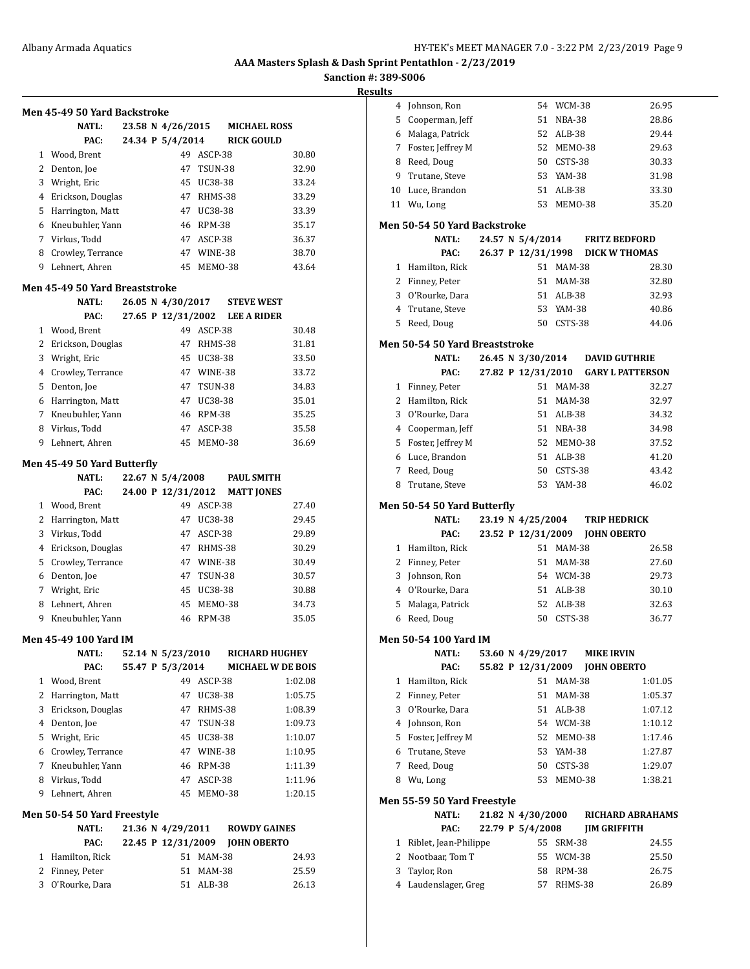#### **Sanction #: 389-S006**

| Men 45-49 50 Yard Backstroke        |  |                    |                     |                                |                |
|-------------------------------------|--|--------------------|---------------------|--------------------------------|----------------|
| <b>NATL:</b>                        |  | 23.58 N 4/26/2015  |                     | <b>MICHAEL ROSS</b>            |                |
| PAC:                                |  | 24.34 P 5/4/2014   |                     | <b>RICK GOULD</b>              |                |
| 1 Wood, Brent                       |  | 49                 | ASCP-38             |                                | 30.80          |
| 2 Denton, Joe                       |  |                    | 47 TSUN-38          |                                | 32.90          |
| 3 Wright, Eric                      |  | 45                 | UC38-38             |                                | 33.24          |
| 4 Erickson, Douglas                 |  |                    | 47 RHMS-38          |                                | 33.29          |
| 5 Harrington, Matt                  |  |                    | 47 UC38-38          |                                | 33.39          |
| 6 Kneubuhler, Yann                  |  |                    | 46 RPM-38           |                                | 35.17          |
| 7 Virkus, Todd                      |  |                    | 47 ASCP-38          |                                | 36.37          |
| 8 Crowley, Terrance                 |  |                    | 47 WINE-38          |                                | 38.70          |
| 9 Lehnert, Ahren                    |  | 45                 | MEMO-38             |                                | 43.64          |
| Men 45-49 50 Yard Breaststroke      |  |                    |                     |                                |                |
| NATL:                               |  | 26.05 N 4/30/2017  |                     | <b>STEVE WEST</b>              |                |
| PAC:                                |  |                    |                     | 27.65 P 12/31/2002 LEE A RIDER |                |
| 1 Wood, Brent                       |  |                    | 49 ASCP-38          |                                | 30.48          |
| 2 Erickson, Douglas                 |  |                    | 47 RHMS-38          |                                | 31.81          |
| 3 Wright, Eric                      |  |                    | 45 UC38-38          |                                | 33.50          |
| 4 Crowley, Terrance                 |  |                    | 47 WINE-38          |                                | 33.72          |
| 5 Denton, Joe                       |  |                    | 47 TSUN-38          |                                | 34.83          |
| 6 Harrington, Matt                  |  |                    | 47 UC38-38          |                                | 35.01          |
| 7 Kneubuhler, Yann                  |  | 46                 | RPM-38              |                                | 35.25          |
| 8 Virkus, Todd                      |  |                    | 47 ASCP-38          |                                | 35.58          |
| 9 Lehnert. Ahren                    |  | 45                 | MEMO-38             |                                | 36.69          |
|                                     |  |                    |                     |                                |                |
| Men 45-49 50 Yard Butterfly         |  |                    |                     |                                |                |
| <b>NATL:</b>                        |  | 22.67 N 5/4/2008   |                     | <b>PAUL SMITH</b>              |                |
| PAC:                                |  | 24.00 P 12/31/2012 |                     | <b>MATT JONES</b>              |                |
| 1 Wood, Brent                       |  |                    | 49 ASCP-38          |                                | 27.40          |
| 2 Harrington, Matt                  |  |                    | 47 UC38-38          |                                | 29.45          |
| 3 Virkus, Todd                      |  | 47                 | ASCP-38             |                                | 29.89          |
| 4 Erickson, Douglas                 |  |                    | 47 RHMS-38          |                                | 30.29          |
| 5 Crowley, Terrance                 |  |                    | 47 WINE-38          |                                | 30.49          |
| 6 Denton, Joe                       |  |                    | 47 TSUN-38          |                                | 30.57          |
| 7 Wright, Eric                      |  | 45                 | UC38-38             |                                | 30.88          |
| 8 Lehnert, Ahren                    |  | 45                 | MEMO-38             |                                | 34.73          |
| 9 Kneubuhler, Yann                  |  | 46                 | RPM-38              |                                | 35.05          |
| Men 45-49 100 Yard IM               |  |                    |                     |                                |                |
| NATL:                               |  | 52.14 N 5/23/2010  |                     | <b>RICHARD HUGHEY</b>          |                |
| PAC:                                |  | 55.47 P 5/3/2014   |                     | <b>MICHAEL W DE BOIS</b>       |                |
| 1 Wood, Brent                       |  |                    | 49 ASCP-38          |                                | 1:02.08        |
| 2 Harrington, Matt                  |  | 47                 | UC38-38             |                                | 1:05.75        |
| 3 Erickson, Douglas                 |  | 47                 | RHMS-38             |                                | 1:08.39        |
| 4 Denton, Joe                       |  |                    | 47 TSUN-38          |                                | 1:09.73        |
| 5 Wright, Eric                      |  |                    | 45 UC38-38          |                                | 1:10.07        |
| 6 Crowley, Terrance                 |  |                    | 47 WINE-38          |                                | 1:10.95        |
| 7 Kneubuhler, Yann                  |  | 46                 | RPM-38              |                                | 1:11.39        |
| 8 Virkus, Todd                      |  |                    | 47 ASCP-38          |                                | 1:11.96        |
| 9 Lehnert, Ahren                    |  | 45                 | MEMO-38             |                                | 1:20.15        |
| Men 50-54 50 Yard Freestyle         |  |                    |                     |                                |                |
| <b>NATL:</b>                        |  | 21.36 N 4/29/2011  |                     | <b>ROWDY GAINES</b>            |                |
|                                     |  | 22.45 P 12/31/2009 |                     | <b>JOHN OBERTO</b>             |                |
| PAC:                                |  |                    |                     |                                |                |
|                                     |  |                    |                     |                                |                |
| 1 Hamilton, Rick                    |  | 51                 | 51 MAM-38           |                                | 24.93          |
| 2 Finney, Peter<br>3 O'Rourke, Dara |  |                    | MAM-38<br>51 ALB-38 |                                | 25.59<br>26.13 |

| suits          |                                     |                    |    |               |                                 |                                     |
|----------------|-------------------------------------|--------------------|----|---------------|---------------------------------|-------------------------------------|
| 4              | Johnson, Ron                        |                    |    | 54 WCM-38     |                                 | 26.95                               |
| 5              | Cooperman, Jeff                     |                    | 51 | <b>NBA-38</b> |                                 | 28.86                               |
| 6              | Malaga, Patrick                     |                    |    | 52 ALB-38     |                                 | 29.44                               |
| 7              | Foster, Jeffrey M                   |                    | 52 | MEMO-38       |                                 | 29.63                               |
| 8              | Reed, Doug                          |                    | 50 | CSTS-38       |                                 | 30.33                               |
| 9              | Trutane, Steve                      |                    |    | 53 YAM-38     |                                 | 31.98                               |
| 10             | Luce, Brandon                       |                    | 51 | ALB-38        |                                 | 33.30                               |
|                | 11 Wu, Long                         |                    | 53 | MEMO-38       |                                 | 35.20                               |
|                |                                     |                    |    |               |                                 |                                     |
|                | <b>Men 50-54 50 Yard Backstroke</b> |                    |    |               |                                 |                                     |
|                | <b>NATL:</b>                        | 24.57 N 5/4/2014   |    |               | <b>FRITZ BEDFORD</b>            |                                     |
|                | PAC:                                | 26.37 P 12/31/1998 |    |               |                                 | <b>DICK W THOMAS</b>                |
|                | 1 Hamilton, Rick                    |                    |    | 51 MAM-38     |                                 | 28.30                               |
|                | 2 Finney, Peter                     |                    | 51 | <b>MAM-38</b> |                                 | 32.80                               |
|                | 3 O'Rourke, Dara                    |                    |    | 51 ALB-38     |                                 | 32.93                               |
| $\overline{4}$ | Trutane, Steve                      |                    | 53 | YAM-38        |                                 | 40.86                               |
| 5              | Reed, Doug                          |                    | 50 | CSTS-38       |                                 | 44.06                               |
|                | Men 50-54 50 Yard Breaststroke      |                    |    |               |                                 |                                     |
|                | <b>NATL:</b>                        |                    |    |               | 26.45 N 3/30/2014 DAVID GUTHRIE |                                     |
|                | PAC:                                |                    |    |               |                                 | 27.82 P 12/31/2010 GARY L PATTERSON |
| 1              | Finney, Peter                       |                    | 51 | <b>MAM-38</b> |                                 | 32.27                               |
| 2              | Hamilton, Rick                      |                    |    | 51 MAM-38     |                                 | 32.97                               |
| 3              | O'Rourke, Dara                      |                    |    | 51 ALB-38     |                                 | 34.32                               |
|                | 4 Cooperman, Jeff                   |                    |    | 51 NBA-38     |                                 | 34.98                               |
| 5              | Foster, Jeffrey M                   |                    |    | 52 MEMO-38    |                                 | 37.52                               |
| 6              | Luce, Brandon                       |                    |    | 51 ALB-38     |                                 | 41.20                               |
| 7              | Reed, Doug                          |                    | 50 | CSTS-38       |                                 | 43.42                               |
| 8              | Trutane, Steve                      |                    |    | 53 YAM-38     |                                 | 46.02                               |
|                |                                     |                    |    |               |                                 |                                     |
|                | Men 50-54 50 Yard Butterfly         |                    |    |               |                                 |                                     |
|                | <b>NATL:</b>                        | 23.19 N 4/25/2004  |    |               | <b>TRIP HEDRICK</b>             |                                     |
|                | PAC:                                | 23.52 P 12/31/2009 |    |               | <b>JOHN OBERTO</b>              |                                     |
| 1              | Hamilton, Rick                      |                    |    | 51 MAM-38     |                                 | 26.58                               |
| 2              | Finney, Peter                       |                    |    | 51 MAM-38     |                                 | 27.60                               |
| 3              | Johnson, Ron                        |                    |    | 54 WCM-38     |                                 | 29.73                               |
|                | 4 O'Rourke, Dara                    |                    |    | 51 ALB-38     |                                 | 30.10                               |
| 5              | Malaga, Patrick                     |                    |    | 52 ALB-38     |                                 | 32.63                               |
| 6              | Reed, Doug                          |                    | 50 | CSTS-38       |                                 | 36.77                               |
|                | Men 50-54 100 Yard IM               |                    |    |               |                                 |                                     |
|                | NATL:                               | 53.60 N 4/29/2017  |    |               | <b>MIKE IRVIN</b>               |                                     |
|                | PAC:                                | 55.82 P 12/31/2009 |    |               | <b>JOHN OBERTO</b>              |                                     |
| 1              | Hamilton, Rick                      |                    | 51 | <b>MAM-38</b> |                                 | 1:01.05                             |
| 2              | Finney, Peter                       |                    | 51 | <b>MAM-38</b> |                                 | 1:05.37                             |
| 3              | O'Rourke, Dara                      |                    | 51 | ALB-38        |                                 | 1:07.12                             |
| 4              | Johnson, Ron                        |                    |    | 54 WCM-38     |                                 | 1:10.12                             |
| 5              | Foster, Jeffrey M                   |                    | 52 | MEMO-38       |                                 | 1:17.46                             |
| 6              | Trutane, Steve                      |                    | 53 | YAM-38        |                                 | 1:27.87                             |
| 7              | Reed, Doug                          |                    | 50 | CSTS-38       |                                 | 1:29.07                             |
| 8              | Wu, Long                            |                    | 53 | MEMO-38       |                                 | 1:38.21                             |
|                | Men 55-59 50 Yard Freestyle         |                    |    |               |                                 |                                     |
|                | <b>NATL:</b>                        | 21.82 N 4/30/2000  |    |               |                                 | <b>RICHARD ABRAHAMS</b>             |
|                | PAC:                                | 22.79 P 5/4/2008   |    |               | <b>JIM GRIFFITH</b>             |                                     |
| 1              | Riblet, Jean-Philippe               |                    | 55 | SRM-38        |                                 | 24.55                               |
| 2              | Nootbaar, Tom T                     |                    | 55 | WCM-38        |                                 | 25.50                               |
| 3              | Taylor, Ron                         |                    | 58 | RPM-38        |                                 | 26.75                               |
| 4              | Laudenslager, Greg                  |                    | 57 | RHMS-38       |                                 | 26.89                               |
|                |                                     |                    |    |               |                                 |                                     |
|                |                                     |                    |    |               |                                 |                                     |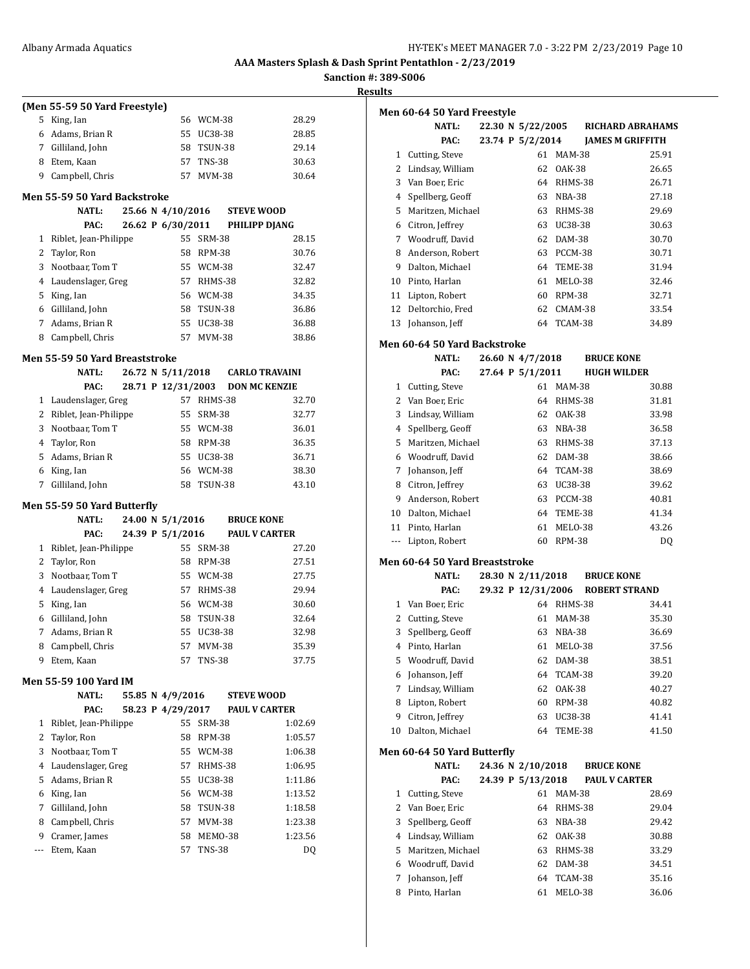**Sanction #: 389-S006 Results**

|     | (Men 55-59 50 Yard Freestyle)      |  |                    |               |                                    |
|-----|------------------------------------|--|--------------------|---------------|------------------------------------|
| 5   | King, Ian                          |  |                    | 56 WCM-38     | 28.29                              |
|     | 6 Adams, Brian R                   |  |                    | 55 UC38-38    | 28.85                              |
|     | 7 Gilliland, John                  |  |                    | 58 TSUN-38    | 29.14                              |
| 8   | Etem. Kaan                         |  |                    | 57 TNS-38     | 30.63                              |
| 9   | Campbell, Chris                    |  |                    | 57 MVM-38     | 30.64                              |
|     |                                    |  |                    |               |                                    |
|     | Men 55-59 50 Yard Backstroke       |  | 25.66 N 4/10/2016  |               |                                    |
|     | <b>NATL:</b><br>PAC:               |  | 26.62 P 6/30/2011  |               | <b>STEVE WOOD</b><br>PHILIPP DJANG |
| 1   | Riblet, Jean-Philippe              |  | 55                 | <b>SRM-38</b> | 28.15                              |
| 2   | Taylor, Ron                        |  |                    | 58 RPM-38     | 30.76                              |
| 3   | Nootbaar, Tom T                    |  |                    | 55 WCM-38     | 32.47                              |
| 4   | Laudenslager, Greg                 |  |                    | 57 RHMS-38    | 32.82                              |
| 5   | King, Ian                          |  |                    | 56 WCM-38     | 34.35                              |
|     | 6 Gilliland, John                  |  |                    | 58 TSUN-38    | 36.86                              |
|     | 7 Adams, Brian R                   |  |                    | 55 UC38-38    | 36.88                              |
| 8   | Campbell, Chris                    |  |                    | 57 MVM-38     | 38.86                              |
|     |                                    |  |                    |               |                                    |
|     | Men 55-59 50 Yard Breaststroke     |  |                    |               |                                    |
|     | NATL:                              |  | 26.72 N 5/11/2018  |               | <b>CARLO TRAVAINI</b>              |
|     | PAC:                               |  | 28.71 P 12/31/2003 |               | <b>DON MC KENZIE</b>               |
| 1   | Laudenslager, Greg                 |  |                    | 57 RHMS-38    | 32.70                              |
| 2   | Riblet, Jean-Philippe              |  |                    | 55 SRM-38     | 32.77                              |
| 3   | Nootbaar, Tom T                    |  |                    | 55 WCM-38     | 36.01                              |
| 4   | Taylor, Ron                        |  |                    | 58 RPM-38     | 36.35                              |
| 5   | Adams, Brian R                     |  |                    | 55 UC38-38    | 36.71                              |
| 6   | King, Ian                          |  |                    | 56 WCM-38     | 38.30                              |
| 7   | Gilliland, John                    |  |                    | 58 TSUN-38    | 43.10                              |
|     | <b>Men 55-59 50 Yard Butterfly</b> |  |                    |               |                                    |
|     | <b>NATL:</b>                       |  | 24.00 N 5/1/2016   |               | <b>BRUCE KONE</b>                  |
|     | PAC:                               |  | 24.39 P 5/1/2016   |               | <b>PAUL V CARTER</b>               |
| 1   | Riblet, Jean-Philippe              |  | 55                 | <b>SRM-38</b> | 27.20                              |
| 2   | Taylor, Ron                        |  |                    | 58 RPM-38     | 27.51                              |
| 3   | Nootbaar, Tom T                    |  |                    | 55 WCM-38     | 27.75                              |
| 4   | Laudenslager, Greg                 |  |                    | 57 RHMS-38    | 29.94                              |
| 5   | King, Ian                          |  |                    | 56 WCM-38     | 30.60                              |
| 6   | Gilliland, John                    |  |                    | 58 TSUN-38    | 32.64                              |
| 7   | Adams, Brian R                     |  | 55                 | UC38-38       | 32.98                              |
| 8   | Campbell, Chris                    |  | 57                 | MVM-38        | 35.39                              |
| 9   | Etem, Kaan                         |  | 57                 | TNS-38        | 37.75                              |
|     | Men 55-59 100 Yard IM              |  |                    |               |                                    |
|     | NATL:                              |  | 55.85 N 4/9/2016   |               | <b>STEVE WOOD</b>                  |
|     | PAC:                               |  | 58.23 P 4/29/2017  |               | <b>PAUL V CARTER</b>               |
| 1   | Riblet, Jean-Philippe              |  | 55                 | <b>SRM-38</b> | 1:02.69                            |
| 2   | Taylor, Ron                        |  | 58                 | RPM-38        | 1:05.57                            |
| 3   | Nootbaar, Tom T                    |  |                    | 55 WCM-38     | 1:06.38                            |
| 4   | Laudenslager, Greg                 |  |                    | 57 RHMS-38    | 1:06.95                            |
| 5   | Adams, Brian R                     |  |                    | 55 UC38-38    | 1:11.86                            |
| 6   | King, Ian                          |  |                    | 56 WCM-38     | 1:13.52                            |
| 7   | Gilliland, John                    |  |                    | 58 TSUN-38    | 1:18.58                            |
| 8   | Campbell, Chris                    |  |                    | 57 MVM-38     | 1:23.38                            |
| 9   | Cramer, James                      |  | 58                 | MEMO-38       | 1:23.56                            |
| --- | Etem, Kaan                         |  | 57                 | <b>TNS-38</b> | DQ                                 |
|     |                                    |  |                    |               |                                    |
|     |                                    |  |                    |               |                                    |
|     |                                    |  |                    |               |                                    |

|                | Men 60-64 50 Yard Freestyle                  |  |                    |               |                         |                |
|----------------|----------------------------------------------|--|--------------------|---------------|-------------------------|----------------|
|                | <b>NATL:</b>                                 |  | 22.30 N 5/22/2005  |               | <b>RICHARD ABRAHAMS</b> |                |
|                | PAC:                                         |  | 23.74 P 5/2/2014   |               | <b>JAMES M GRIFFITH</b> |                |
|                | 1 Cutting, Steve                             |  | 61                 | <b>MAM-38</b> |                         | 25.91          |
| $\overline{2}$ | Lindsay, William                             |  | 62                 | <b>OAK-38</b> |                         | 26.65          |
|                | 3 Van Boer, Eric                             |  | 64                 | RHMS-38       |                         | 26.71          |
|                | 4 Spellberg, Geoff                           |  | 63                 | NBA-38        |                         | 27.18          |
| 5              | Maritzen, Michael                            |  | 63                 | RHMS-38       |                         | 29.69          |
|                | 6 Citron, Jeffrey                            |  | 63                 | UC38-38       |                         | 30.63          |
|                | 7 Woodruff, David                            |  | 62                 | DAM-38        |                         | 30.70          |
| 8              | Anderson, Robert                             |  | 63                 | PCCM-38       |                         | 30.71          |
| 9              | Dalton, Michael                              |  | 64                 | TEME-38       |                         | 31.94          |
| 10             | Pinto, Harlan                                |  | 61                 | MELO-38       |                         | 32.46          |
|                | 11 Lipton, Robert                            |  |                    | 60 RPM-38     |                         | 32.71          |
| 12             | Deltorchio, Fred                             |  | 62                 | CMAM-38       |                         | 33.54          |
| 13             | Johanson, Jeff                               |  | 64                 | TCAM-38       |                         | 34.89          |
|                |                                              |  |                    |               |                         |                |
|                | Men 60-64 50 Yard Backstroke<br><b>NATL:</b> |  |                    |               |                         |                |
|                |                                              |  | 26.60 N 4/7/2018   |               | <b>BRUCE KONE</b>       |                |
|                | PAC:                                         |  | 27.64 P 5/1/2011   |               | <b>HUGH WILDER</b>      |                |
|                | 1 Cutting, Steve                             |  | 61                 | <b>MAM-38</b> |                         | 30.88          |
|                | 2 Van Boer, Eric                             |  | 64                 | RHMS-38       |                         | 31.81          |
| 3              | Lindsay, William                             |  | 62                 | <b>OAK-38</b> |                         | 33.98          |
|                | 4 Spellberg, Geoff                           |  |                    | 63 NBA-38     |                         | 36.58          |
| 5              | Maritzen, Michael                            |  |                    | 63 RHMS-38    |                         | 37.13          |
|                | 6 Woodruff, David                            |  | 62                 | DAM-38        |                         | 38.66          |
| 7              | Johanson, Jeff                               |  | 64                 | TCAM-38       |                         | 38.69          |
|                | 8 Citron, Jeffrey                            |  | 63                 | UC38-38       |                         | 39.62          |
| 9              | Anderson, Robert                             |  | 63                 | PCCM-38       |                         | 40.81          |
| 10             | Dalton, Michael                              |  | 64                 | TEME-38       |                         | 41.34          |
| 11             | Pinto, Harlan                                |  | 61                 | MELO-38       |                         | 43.26          |
| ---            | Lipton, Robert                               |  | 60                 | <b>RPM-38</b> |                         | DQ             |
|                | Men 60-64 50 Yard Breaststroke               |  |                    |               |                         |                |
|                | <b>NATL:</b>                                 |  | 28.30 N 2/11/2018  |               | <b>BRUCE KONE</b>       |                |
|                | PAC:                                         |  | 29.32 P 12/31/2006 |               | <b>ROBERT STRAND</b>    |                |
|                | 1 Van Boer, Eric                             |  |                    | 64 RHMS-38    |                         | 34.41          |
|                | 2 Cutting, Steve                             |  | 61                 | MAM-38        |                         | 35.30          |
|                | 3 Spellberg, Geoff                           |  |                    | 63 NBA-38     |                         | 36.69          |
| 4              | Pinto, Harlan                                |  | 61                 | MELO-38       |                         | 37.56          |
| 5              | Woodruff, David                              |  | 62                 | DAM-38        |                         | 38.51          |
| 6              | Johanson, Jeff                               |  | 64                 | TCAM-38       |                         | 39.20          |
| 7              | Lindsay, William                             |  | 62                 | 0AK-38        |                         | 40.27          |
| 8              | Lipton, Robert                               |  | 60                 | <b>RPM-38</b> |                         | 40.82          |
| 9              | Citron, Jeffrey                              |  | 63                 | UC38-38       |                         | 41.41          |
| 10             | Dalton, Michael                              |  | 64                 | TEME-38       |                         | 41.50          |
|                | Men 60-64 50 Yard Butterfly                  |  |                    |               |                         |                |
|                | <b>NATL:</b>                                 |  | 24.36 N 2/10/2018  |               | <b>BRUCE KONE</b>       |                |
|                | PAC:                                         |  | 24.39 P 5/13/2018  |               | <b>PAUL V CARTER</b>    |                |
| 1              | Cutting, Steve                               |  | 61                 | MAM-38        |                         | 28.69          |
| 2              | Van Boer, Eric                               |  | 64                 | RHMS-38       |                         | 29.04          |
| 3              | Spellberg, Geoff                             |  | 63                 | NBA-38        |                         | 29.42          |
| 4              | Lindsay, William                             |  | 62                 | 0AK-38        |                         | 30.88          |
| 5              | Maritzen, Michael                            |  | 63                 | RHMS-38       |                         | 33.29          |
| 6              | Woodruff, David                              |  | 62                 | DAM-38        |                         |                |
| 7              | Johanson, Jeff                               |  | 64                 | TCAM-38       |                         | 34.51<br>35.16 |
| 8              | Pinto, Harlan                                |  | 61                 | MELO-38       |                         | 36.06          |
|                |                                              |  |                    |               |                         |                |
|                |                                              |  |                    |               |                         |                |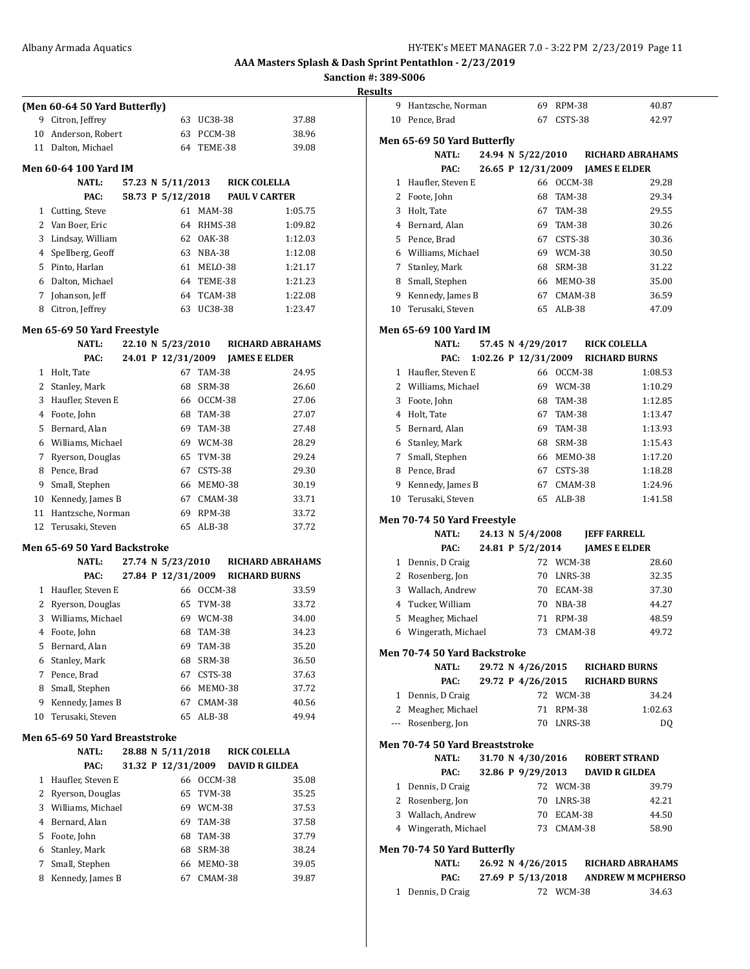**Sanction #: 389-S006**

|                | (Men 60-64 50 Yard Butterfly)                      |  |                    |                    |                      |                         |
|----------------|----------------------------------------------------|--|--------------------|--------------------|----------------------|-------------------------|
|                | 9 Citron, Jeffrey                                  |  |                    | 63 UC38-38         |                      | 37.88                   |
| 10             | Anderson, Robert                                   |  |                    | 63 PCCM-38         |                      | 38.96                   |
|                | 11 Dalton, Michael                                 |  |                    | 64 TEME-38         |                      | 39.08                   |
|                | Men 60-64 100 Yard IM                              |  |                    |                    |                      |                         |
|                | <b>NATL:</b>                                       |  | 57.23 N 5/11/2013  |                    | <b>RICK COLELLA</b>  |                         |
|                | PAC:                                               |  | 58.73 P 5/12/2018  |                    | <b>PAUL V CARTER</b> |                         |
|                | 1 Cutting, Steve                                   |  |                    | 61 MAM-38          |                      | 1:05.75                 |
|                | 2 Van Boer, Eric                                   |  |                    | 64 RHMS-38         |                      | 1:09.82                 |
| 3              | Lindsay, William                                   |  |                    | 62 OAK-38          |                      | 1:12.03                 |
| 4              | Spellberg, Geoff                                   |  |                    | 63 NBA-38          |                      | 1:12.08                 |
|                | 5 Pinto, Harlan                                    |  |                    | 61 MELO-38         |                      | 1:21.17                 |
|                | 6 Dalton, Michael                                  |  |                    | 64 TEME-38         |                      | 1:21.23                 |
|                | 7 Johanson, Jeff                                   |  |                    | 64 TCAM-38         |                      | 1:22.08                 |
| 8              | Citron, Jeffrey                                    |  | 63                 | UC38-38            |                      | 1:23.47                 |
|                |                                                    |  |                    |                    |                      |                         |
|                | <b>Men 65-69 50 Yard Freestyle</b><br><b>NATL:</b> |  |                    |                    |                      |                         |
|                |                                                    |  | 22.10 N 5/23/2010  |                    |                      | <b>RICHARD ABRAHAMS</b> |
|                | PAC:                                               |  | 24.01 P 12/31/2009 |                    | <b>JAMES E ELDER</b> |                         |
|                | 1 Holt, Tate                                       |  |                    | 67 TAM-38          |                      | 24.95                   |
|                | 2 Stanley, Mark                                    |  |                    | 68 SRM-38          |                      | 26.60                   |
| 3              | Haufler, Steven E                                  |  |                    | 66 OCCM-38         |                      | 27.06                   |
| $\overline{4}$ | Foote, John                                        |  |                    | 68 TAM-38          |                      | 27.07                   |
| 5              | Bernard, Alan                                      |  |                    | 69 TAM-38          |                      | 27.48                   |
|                | 6 Williams, Michael                                |  |                    | 69 WCM-38          |                      | 28.29                   |
| 7              | Ryerson, Douglas                                   |  |                    | 65 TVM-38          |                      | 29.24                   |
|                | 8 Pence, Brad                                      |  |                    | 67 CSTS-38         |                      | 29.30                   |
| 9              | Small, Stephen                                     |  |                    | 66 MEMO-38         |                      | 30.19                   |
| 10             | Kennedy, James B                                   |  |                    | 67 CMAM-38         |                      | 33.71                   |
| 11             | Hantzsche, Norman                                  |  |                    | 69 RPM-38          |                      | 33.72                   |
| 12             | Terusaki, Steven                                   |  | 65                 | ALB-38             |                      | 37.72                   |
|                | Men 65-69 50 Yard Backstroke                       |  |                    |                    |                      |                         |
|                | NATL:                                              |  | 27.74 N 5/23/2010  |                    |                      | <b>RICHARD ABRAHAMS</b> |
|                | PAC:                                               |  | 27.84 P 12/31/2009 |                    |                      | <b>RICHARD BURNS</b>    |
|                | 1 Haufler, Steven E                                |  |                    | 66 OCCM-38         |                      | 33.59                   |
|                | 2 Ryerson, Douglas                                 |  |                    | 65 TVM-38          |                      | 33.72                   |
| 3              | Williams, Michael                                  |  |                    | 69 WCM-38          |                      | 34.00                   |
| 4              | Foote, John                                        |  | 68                 | <b>TAM-38</b>      |                      | 34.23                   |
| 5              | Bernard, Alan                                      |  | 69                 | TAM-38             |                      | 35.20                   |
| 6              | Stanley, Mark                                      |  | 68                 | <b>SRM-38</b>      |                      | 36.50                   |
|                | 7 Pence, Brad                                      |  | 67                 | CSTS-38            |                      | 37.63                   |
| 8              | Small, Stephen                                     |  | 66                 | MEMO-38            |                      | 37.72                   |
| 9              | Kennedy, James B                                   |  | 67                 | CMAM-38            |                      | 40.56                   |
| 10             | Terusaki, Steven                                   |  | 65                 | ALB-38             |                      | 49.94                   |
|                | Men 65-69 50 Yard Breaststroke                     |  |                    |                    |                      |                         |
|                | <b>NATL:</b>                                       |  | 28.88 N 5/11/2018  |                    | <b>RICK COLELLA</b>  |                         |
|                | PAC:                                               |  | 31.32 P 12/31/2009 |                    |                      | <b>DAVID R GILDEA</b>   |
| 1              | Haufler, Steven E                                  |  | 66                 | OCCM-38            |                      | 35.08                   |
| 2              | Ryerson, Douglas                                   |  | 65                 | TVM-38             |                      | 35.25                   |
| 3              | Williams, Michael                                  |  | 69                 | WCM-38             |                      | 37.53                   |
| $\overline{4}$ | Bernard, Alan                                      |  |                    | 69 TAM-38          |                      | 37.58                   |
|                | Foote, John                                        |  | 68                 | TAM-38             |                      | 37.79                   |
|                |                                                    |  |                    |                    |                      | 38.24                   |
| 5              |                                                    |  |                    |                    |                      |                         |
| 6              | Stanley, Mark                                      |  | 68                 | SRM-38             |                      |                         |
| 7<br>8         | Small, Stephen<br>Kennedy, James B                 |  | 66<br>67           | MEMO-38<br>CMAM-38 |                      | 39.05<br>39.87          |

| 9              | Hantzsche, Norman              |  |                      | 69 RPM-38     |                                 | 40.87                    |
|----------------|--------------------------------|--|----------------------|---------------|---------------------------------|--------------------------|
|                | 10 Pence, Brad                 |  |                      | 67 CSTS-38    |                                 | 42.97                    |
|                |                                |  |                      |               |                                 |                          |
|                | Men 65-69 50 Yard Butterfly    |  |                      |               |                                 |                          |
|                | <b>NATL:</b>                   |  | 24.94 N 5/22/2010    |               |                                 | <b>RICHARD ABRAHAMS</b>  |
|                | PAC:                           |  | 26.65 P 12/31/2009   |               | <b>JAMES E ELDER</b>            |                          |
| $\mathbf{1}$   | Haufler, Steven E              |  |                      | 66 OCCM-38    |                                 | 29.28                    |
| $\overline{2}$ | Foote, John                    |  | 68                   | <b>TAM-38</b> |                                 | 29.34                    |
|                | 3 Holt, Tate                   |  |                      | 67 TAM-38     |                                 | 29.55                    |
|                | 4 Bernard, Alan                |  |                      | 69 TAM-38     |                                 | 30.26                    |
|                | 5 Pence, Brad                  |  |                      | 67 CSTS-38    |                                 | 30.36                    |
|                | 6 Williams, Michael            |  |                      | 69 WCM-38     |                                 | 30.50                    |
|                | 7 Stanley, Mark                |  |                      | 68 SRM-38     |                                 | 31.22                    |
|                | 8 Small, Stephen               |  |                      | 66 MEM0-38    |                                 | 35.00                    |
|                | 9 Kennedy, James B             |  |                      | 67 CMAM-38    |                                 | 36.59                    |
| 10             | Terusaki, Steven               |  | 65                   | $ALB-38$      |                                 | 47.09                    |
|                | Men 65-69 100 Yard IM          |  |                      |               |                                 |                          |
|                | <b>NATL:</b>                   |  | 57.45 N 4/29/2017    |               | <b>RICK COLELLA</b>             |                          |
|                | PAC:                           |  | 1:02.26 P 12/31/2009 |               | <b>RICHARD BURNS</b>            |                          |
|                | 1 Haufler, Steven E            |  |                      | 66 OCCM-38    |                                 | 1:08.53                  |
|                | 2 Williams, Michael            |  |                      | 69 WCM-38     |                                 | 1:10.29                  |
|                | 3 Foote, John                  |  |                      | 68 TAM-38     |                                 | 1:12.85                  |
|                | 4 Holt, Tate                   |  |                      | 67 TAM-38     |                                 | 1:13.47                  |
|                | 5 Bernard, Alan                |  |                      | 69 TAM-38     |                                 | 1:13.93                  |
|                |                                |  |                      |               |                                 |                          |
|                | 6 Stanley, Mark                |  |                      | 68 SRM-38     |                                 | 1:15.43                  |
|                | 7 Small, Stephen               |  |                      | 66 MEMO-38    |                                 | 1:17.20                  |
|                | 8 Pence, Brad                  |  |                      | 67 CSTS-38    |                                 | 1:18.28                  |
| 9              | Kennedy, James B               |  | 67                   | CMAM-38       |                                 | 1:24.96                  |
| 10             | Terusaki, Steven               |  | 65                   | $ALB-38$      |                                 | 1:41.58                  |
|                | Men 70-74 50 Yard Freestyle    |  |                      |               |                                 |                          |
|                | <b>NATL:</b>                   |  | 24.13 N 5/4/2008     |               | <b>JEFF FARRELL</b>             |                          |
|                | PAC:                           |  | 24.81 P 5/2/2014     |               | <b>JAMES E ELDER</b>            |                          |
| 1              | Dennis, D Craig                |  |                      | 72 WCM-38     |                                 | 28.60                    |
|                | 2 Rosenberg, Jon               |  |                      | 70 LNRS-38    |                                 | 32.35                    |
|                | 3 Wallach, Andrew              |  |                      | 70 ECAM-38    |                                 | 37.30                    |
|                | 4 Tucker, William              |  |                      | 70 NBA-38     |                                 | 44.27                    |
| 5              | Meagher, Michael               |  |                      | 71 RPM-38     |                                 | 48.59                    |
| 6              | Wingerath, Michael             |  |                      | 73 CMAM-38    |                                 | 49.72                    |
|                | Men 70-74 50 Yard Backstroke   |  |                      |               |                                 |                          |
|                | <b>NATL:</b>                   |  |                      |               | 29.72 N 4/26/2015 RICHARD BURNS |                          |
|                | PAC:                           |  |                      |               | 29.72 P 4/26/2015 RICHARD BURNS |                          |
|                | 1 Dennis, D Craig              |  |                      | 72 WCM-38     |                                 | 34.24                    |
|                | 2 Meagher, Michael             |  |                      | 71 RPM-38     |                                 | 1:02.63                  |
|                | --- Rosenberg, Jon             |  |                      | 70 LNRS-38    |                                 | DQ                       |
|                |                                |  |                      |               |                                 |                          |
|                | Men 70-74 50 Yard Breaststroke |  |                      |               |                                 |                          |
|                | <b>NATL:</b>                   |  | 31.70 N 4/30/2016    |               | <b>ROBERT STRAND</b>            |                          |
|                | PAC:                           |  | 32.86 P 9/29/2013    |               | <b>DAVID R GILDEA</b>           |                          |
|                | 1 Dennis, D Craig              |  |                      | 72 WCM-38     |                                 | 39.79                    |
|                | 2 Rosenberg, Jon               |  |                      | 70 LNRS-38    |                                 | 42.21                    |
|                | 3 Wallach, Andrew              |  |                      | 70 ECAM-38    |                                 | 44.50                    |
|                | 4 Wingerath, Michael           |  |                      | 73 CMAM-38    |                                 | 58.90                    |
|                | Men 70-74 50 Yard Butterfly    |  |                      |               |                                 |                          |
|                | NATL:                          |  | 26.92 N 4/26/2015    |               |                                 | <b>RICHARD ABRAHAMS</b>  |
|                | PAC:                           |  | 27.69 P 5/13/2018    |               |                                 | <b>ANDREW M MCPHERSO</b> |
| 1              | Dennis, D Craig                |  |                      | 72 WCM-38     |                                 | 34.63                    |
|                |                                |  |                      |               |                                 |                          |
|                |                                |  |                      |               |                                 |                          |